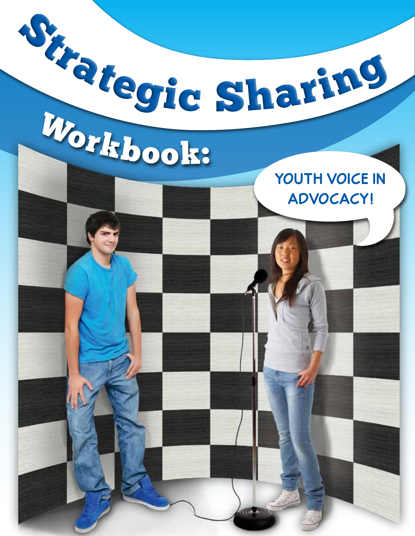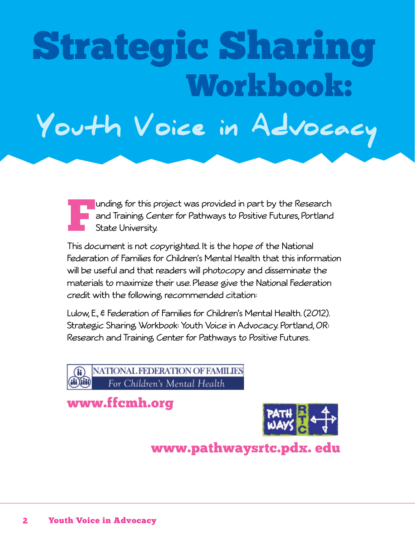# Strategic Sharing Workbook: Youth Voice in Advocacy

Funding for this project was provided in part by the Research<br>and Training Center for Pathways to Positive Futures, Portland<br>State University. and Training Center for Pathways to Positive Futures, Portland State University.

This document is not copyrighted. It is the hope of the National Federation of Families for Children's Mental Health that this information will be useful and that readers will photocopy and disseminate the materials to maximize their use. Please give the National Federation credit with the following recommended citation:

Lulow, E., & Federation of Families for Children's Mental Health. (2012). Strategic Sharing Workbook: Youth Voice in Advocacy. Portland, OR: Research and Training Center for Pathways to Positive Futures.

NATIONAL FEDERATION OF FAMILIES For Children's Mental Health

# www.ffcmh.org



www.pathwaysrtc.pdx. edu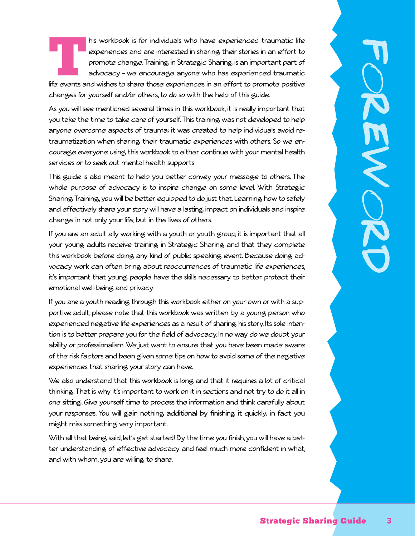his workbook is for individuals who have experienced traumatic life<br>
experiences and are interested in sharing their stories in an effort to<br>
promote change. Training in Strategic Sharing is an important part of<br>
life even experiences and are interested in sharing their stories in an effort to promote change. Training in Strategic Sharing is an important part of advocacy – we encourage anyone who has experienced traumatic

changes for yourself and/or others, to do so with the help of this guide.

As you will see mentioned several times in this workbook, it is really important that you take the time to take care of yourself. This training was not developed to help anyone overcome aspects of trauma; it was created to help individuals avoid retraumatization when sharing their traumatic experiences with others. So we encourage everyone using this workbook to either continue with your mental health services or to seek out mental health supports.

This guide is also meant to help you better convey your message to others. The whole purpose of advocacy is to inspire change on some level. With Strategic Sharing Training, you will be better equipped to do just that. Learning how to safely and effectively share your story will have a lasting impact on individuals and inspire change in not only your life, but in the lives of others.

If you are an adult ally working with a youth or youth group, it is important that all your young adults receive training in Strategic Sharing and that they complete this workbook before doing any kind of public speaking event. Because doing advocacy work can often bring about reoccurrences of traumatic life experiences, it's important that young people have the skills necessary to better protect their emotional well-being and privacy.

If you are a youth reading through this workbook either on your own or with a supportive adult, please note that this workbook was written by a young person who experienced negative life experiences as a result of sharing his story. Its sole intention is to better prepare you for the field of advocacy. In no way do we doubt your ability or professionalism. We just want to ensure that you have been made aware of the risk factors and been given some tips on how to avoid some of the negative experiences that sharing your story can have.

We also understand that this workbook is long and that it requires a lot of critical thinking. That is why it's important to work on it in sections and not try to do it all in one sitting. Give yourself time to process the information and think carefully about your responses. You will gain nothing additional by finishing it quickly; in fact you might miss something very important.

With all that being said, let's get started! By the time you finish, you will have a better understanding of effective advocacy and feel much more confident in what, and with whom, you are willing to share.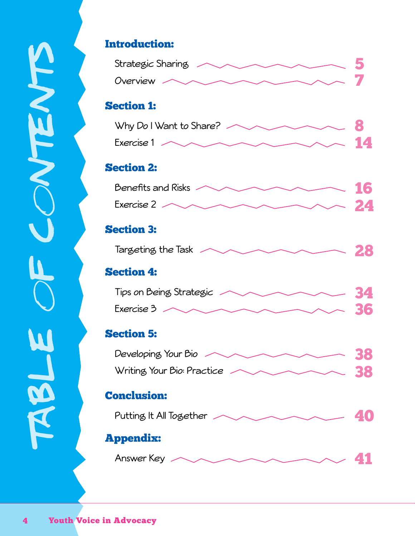# Introduction: Strategic Sharing <u>Strategic Sharing</u> Overview **All Development of the Contract of the Contract of Texas and Contract of Texas and Contract of Texas and Contract of Texas and Contract of Texas and Contract of Texas and Contract of Texas and Contract of Texas a** Section 1: Why Do I Want to Share? Exercise 1  $\sim$  14 Section 2: Benefits and Risks  $\sim$  16 Exercise 2  $\sim$  24 Section 3: Targeting the Task  $\sim$  28 Section 4: Tips on Being Strategic  $\sim$  34 Exercise 3  $\sim$  36 Section 5: Developing Your Bio Writing Your Bio: Practice <u>and a serie 38</u> Conclusion: Putting It All Together Appendix: Answer Key  $\sim$  41

7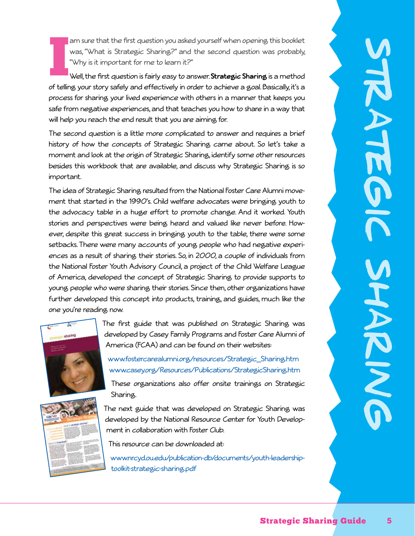am sure that the first question you asked yourself when opening this booklet was, "What is Strategic Sharing?" and the second question was probably, "Why is it important for me to learn it?"

 $\prod_{\text{of} \text{tolier}}$ Well, the first question is fairly easy to answer. **Strategic Sharing** is a method of telling your story safely and effectively in order to achieve a goal. Basically, it's a process for sharing your lived experience with others in a manner that keeps you safe from negative experiences, and that teaches you how to share in a way that will help you reach the end result that you are aiming for.

The second question is a little more complicated to answer and requires a brief history of how the concepts of Strategic Sharing came about. So let's take a moment and look at the origin of Strategic Sharing, identify some other resources besides this workbook that are available, and discuss why Strategic Sharing is so important.

The idea of Strategic Sharing resulted from the National Foster Care Alumni movement that started in the 1990's. Child welfare advocates were bringing youth to the advocacy table in a huge effort to promote change. And it worked. Youth stories and perspectives were being heard and valued like never before. However, despite this great success in bringing youth to the table, there were some setbacks. There were many accounts of young people who had negative experiences as a result of sharing their stories. So, in 2000, a couple of individuals from the National Foster Youth Advisory Council, a project of the Child Welfare League of America, developed the concept of Strategic Sharing to provide supports to young people who were sharing their stories. Since then, other organizations have further developed this concept into products, training, and guides, much like the one you're reading now.



The first guide that was published on Strategic Sharing was developed by Casey Family Programs and Foster Care Alumni of America (FCAA) and can be found on their websites:

www.fostercarealumni.org/resources/Strategic\_Sharing.htm www.casey.org/Resources/Publications/StrategicSharing.htm

These organizations also offer onsite trainings on Strategic Sharing.

The next guide that was developed on Strategic Sharing was developed by the National Resource Center for Youth Development in collaboration with Foster Club.

This resource can be downloaded at:

www.nrcyd.ou.edu/publication-db/documents/youth-leadershiptoolkit-strategic-sharing.pdf

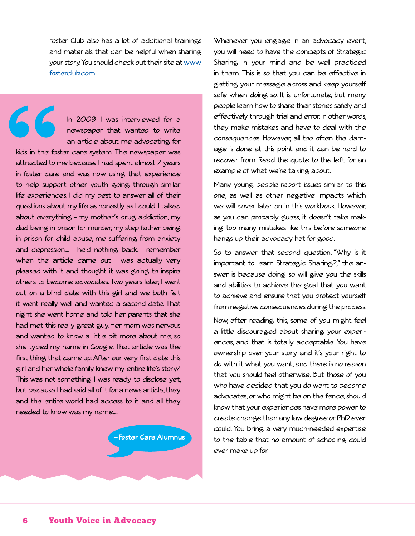Foster Club also has a lot of additional trainings and materials that can be helpful when sharing your story. You should check out their site at www. fosterclub.com.

66 In 2009 I was interviewed for a newspaper that wanted to write an article about me advocating for kids in the foster care system. The newspaper was attracted to me because I had spent almost 7 years in foster care and was now using that experience to help support other youth going through similar life experiences. I did my best to answer all of their questions about my life as honestly as I could. I talked about everything – my mother's drug addiction, my dad being in prison for murder, my step father being in prison for child abuse, me suffering from anxiety and depression…. I held nothing back. I remember when the article came out I was actually very pleased with it and thought it was going to inspire others to become advocates. Two years later, I went out on a blind date with this girl and we both felt it went really well and wanted a second date. That night she went home and told her parents that she had met this really great guy. Her mom was nervous and wanted to know a little bit more about me, so she typed my name in Google. That article was the first thing that came up. After our very first date this girl and her whole family knew my entire life's story/ This was not something I was ready to disclose yet, but because I had said all of it for a news article, they and the entire world had access to it and all they needed to know was my name…..

**— Foster Care Alumnus**

Whenever you engage in an advocacy event, you will need to have the concepts of Strategic Sharing in your mind and be well practiced in them. This is so that you can be effective in getting your message across and keep yourself safe when doing so. It is unfortunate, but many people learn how to share their stories safely and effectively through trial and error. In other words, they make mistakes and have to deal with the consequences. However, all too often the damage is done at this point and it can be hard to recover from. Read the quote to the left for an example of what we're talking about.

Many young people report issues similar to this one, as well as other negative impacts which we will cover later on in this workbook. However, as you can probably guess, it doesn't take making too many mistakes like this before someone hangs up their advocacy hat for good.

So to answer that second question, "Why is it important to learn Strategic Sharing?," the answer is because doing so will give you the skills and abilities to achieve the goal that you want to achieve and ensure that you protect yourself from negative consequences during the process.

Now, after reading this, some of you might feel a little discouraged about sharing your experiences, and that is totally acceptable. You have ownership over your story and it's your right to do with it what you want, and there is no reason that you should feel otherwise. But those of you who have decided that you do want to become advocates, or who might be on the fence, should know that your experiences have more power to create change than any law degree or PhD ever could. You bring a very much-needed expertise to the table that no amount of schooling could ever make up for.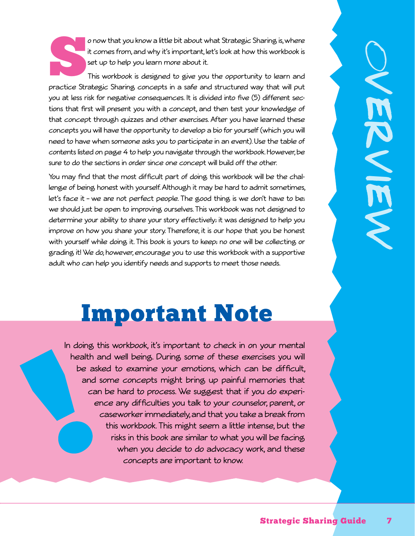o now that you know a little bit about what Strategic Sharing is, where it comes from, and why it's important, let's look at how this workbook is set up to help you learn more about it.

This workbook is designed to give you the opportunity to learn and practice Strategic Sharing concepts in a safe and structured way that will put you at less risk for negative consequences. It is divided into five (5) different sections that first will present you with a concept, and then test your knowledge of that concept through quizzes and other exercises. After you have learned these concepts you will have the opportunity to develop a bio for yourself (which you will need to have when someone asks you to participate in an event). Use the table of contents listed on page 4 to help you navigate through the workbook. However, be sure to do the sections in order since one concept will build off the other.

You may find that the most difficult part of doing this workbook will be the challenge of being honest with yourself. Although it may be hard to admit sometimes, let's face it – we are not perfect people. The good thing is we don't have to be; we should just be open to improving ourselves. This workbook was not designed to determine your ability to share your story effectively; it was designed to help you improve on how you share your story. Therefore, it is our hope that you be honest with yourself while doing it. This book is yours to keep; no one will be collecting or grading it! We do, however, encourage you to use this workbook with a supportive adult who can help you identify needs and supports to meet those needs.

# Important Note

In doing this workbook, it's important to check in on your mental health and well being. During some of these exercises you will be asked to examine your emotions, which can be difficult, and some concepts might bring up painful memories that can be hard to process. We suggest that if you do experience any difficulties you talk to your counselor, parent, or caseworker immediately, and that you take a break from this workbook. This might seem a little intense, but the risks in this book are similar to what you will be facing when you decide to do advocacy work, and these concepts are important to know.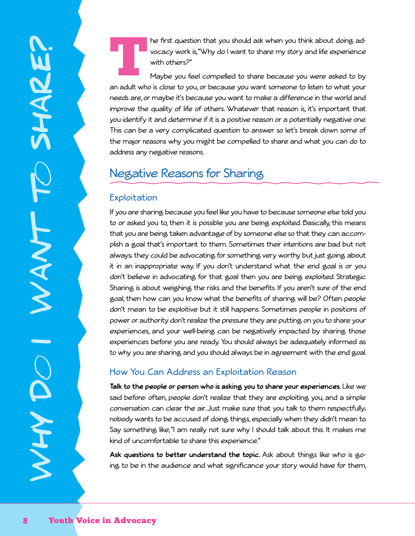he first question that you should ask when you think about doing advocacy work is, "Why do I want to share my story and life experience with others?"

Maybe you feel compelled to share because you were asked to by an adult who is close to you, or because you want someone to listen to what your needs are, or maybe it's because you want to make a difference in the world and improve the quality of life of others. Whatever that reason is, it's important that you identify it and determine if it is a positive reason or a potentially negative one. This can be a very complicated question to answer so let's break down some of the major reasons why you might be compelled to share and what you can do to address any negative reasons.

# Negative Reasons for Sharing

#### **Exploitation**

If you are sharing because you feel like you have to because someone else told you to or asked you to, then it is possible you are being exploited. Basically, this means that you are being taken advantage of by someone else so that they can accomplish a goal that's important to them. Sometimes their intentions are bad but not always; they could be advocating for something very worthy but just going about it in an inappropriate way. If you don't understand what the end goal is or you don't believe in advocating for that goal then you are being exploited. Strategic Sharing is about weighing the risks and the benefits. If you aren't sure of the end goal, then how can you know what the benefits of sharing will be? Often people don't mean to be exploitive but it still happens. Sometimes people in positions of power or authority don't realize the pressure they are putting on you to share your experiences, and your well-being can be negatively impacted by sharing those experiences before you are ready. You should always be adequately informed as to why you are sharing and you should always be in agreement with the end goal.

#### How You Can Address an Exploitation Reason

**Talk to the people or person who is asking you to share your experiences.** Like we said before: often, people don't realize that they are exploiting you, and a simple conversation can clear the air. Just make sure that you talk to them respectfully; nobody wants to be accused of doing things, especially when they didn't mean to. Say something like, "I am really not sure why I should talk about this. It makes me kind of uncomfortable to share this experience."

**Ask questions to better understand the topic.** Ask about things like who is going to be in the audience and what significance your story would have for them,

why d

o i want to share?

NANT

**SHAR!**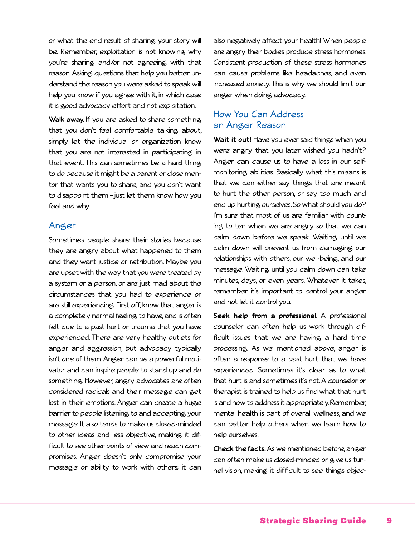or what the end result of sharing your story will be. Remember, exploitation is not knowing why you're sharing and/or not agreeing with that reason. Asking questions that help you better understand the reason you were asked to speak will help you know if you agree with it, in which case it is good advocacy effort and not exploitation.

**Walk away.** If you are asked to share something that you don't feel comfortable talking about, simply let the individual or organization know that you are not interested in participating in that event. This can sometimes be a hard thing to do because it might be a parent or close mentor that wants you to share, and you don't want to disappoint them – just let them know how you feel and why.

#### Anger

Sometimes people share their stories because they are angry about what happened to them and they want justice or retribution. Maybe you are upset with the way that you were treated by a system or a person, or are just mad about the circumstances that you had to experience or are still experiencing. First off, know that anger is a completely normal feeling to have, and is often felt due to a past hurt or trauma that you have experienced. There are very healthy outlets for anger and aggression, but advocacy typically isn't one of them. Anger can be a powerful motivator and can inspire people to stand up and do something. However, angry advocates are often considered radicals and their message can get lost in their emotions. Anger can create a huge barrier to people listening to and accepting your message. It also tends to make us closed-minded to other ideas and less objective, making it difficult to see other points of view and reach compromises. Anger doesn't only compromise your message or ability to work with others; it can

also negatively affect your health! When people are angry their bodies produce stress hormones. Consistent production of these stress hormones can cause problems like headaches, and even increased anxiety. This is why we should limit our anger when doing advocacy.

#### How You Can Address an Anger Reason

**Wait it out!** Have you ever said things when you were angry that you later wished you hadn't? Anger can cause us to have a loss in our selfmonitoring abilities. Basically what this means is that we can either say things that are meant to hurt the other person, or say too much and end up hurting ourselves. So what should you do? I'm sure that most of us are familiar with counting to ten when we are angry so that we can calm down before we speak. Waiting until we calm down will prevent us from damaging our relationships with others, our well-being, and our message. Waiting until you calm down can take minutes, days, or even years. Whatever it takes, remember it's important to control your anger and not let it control you.

**Seek help from a professional.** A professional counselor can often help us work through difficult issues that we are having a hard time processing. As we mentioned above, anger is often a response to a past hurt that we have experienced. Sometimes it's clear as to what that hurt is and sometimes it's not. A counselor or therapist is trained to help us find what that hurt is and how to address it appropriately. Remember, mental health is part of overall wellness, and we can better help others when we learn how to help ourselves.

**Check the facts.** As we mentioned before, anger can often make us closed-minded or give us tunnel vision, making it difficult to see things objec-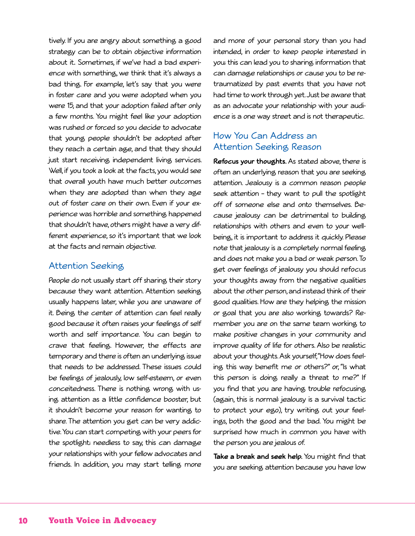tively. If you are angry about something a good strategy can be to obtain objective information about it**.** Sometimes, if we've had a bad experience with something, we think that it's always a bad thing. For example, let's say that you were in foster care and you were adopted when you were 15, and that your adoption failed after only a few months. You might feel like your adoption was rushed or forced so you decide to advocate that young people shouldn't be adopted after they reach a certain age, and that they should just start receiving independent living services. Well, if you took a look at the facts, you would see that overall youth have much better outcomes when they are adopted than when they age out of foster care on their own. Even if your experience was horrible and something happened that shouldn't have, others might have a very different experience, so it's important that we look at the facts and remain objective.

#### Attention Seeking

People do not usually start off sharing their story because they want attention. Attention seeking usually happens later, while you are unaware of it. Being the center of attention can feel really good because it often raises your feelings of self worth and self importance. You can begin to crave that feeling. However, the effects are temporary and there is often an underlying issue that needs to be addressed. These issues could be feelings of jealously, low self-esteem, or even conceitedness. There is nothing wrong with using attention as a little confidence booster, but it shouldn't become your reason for wanting to share. The attention you get can be very addictive. You can start competing with your peers for the spotlight; needless to say, this can damage your relationships with your fellow advocates and friends. In addition, you may start telling more

and more of your personal story than you had intended, in order to keep people interested in you; this can lead you to sharing information that can damage relationships or cause you to be retraumatized by past events that you have not had time to work through yet. Just be aware that as an advocate your relationship with your audience is a one way street and is not therapeutic.

#### How You Can Address an Attention Seeking Reason

**Refocus your thoughts.** As stated above, there is often an underlying reason that you are seeking attention. Jealousy is a common reason people seek attention – they want to pull the spotlight off of someone else and onto themselves. Because jealousy can be detrimental to building relationships with others and even to your wellbeing, it is important to address it quickly. Please note that jealousy is a completely normal feeling and does not make you a bad or weak person. To get over feelings of jealousy you should refocus your thoughts away from the negative qualities about the other person, and instead think of their good qualities. How are they helping the mission or goal that you are also working towards? Remember you are on the same team working to make positive changes in your community and improve quality of life for others. Also be realistic about your thoughts. Ask yourself, "How does feeling this way benefit me or others?" or, "Is what this person is doing really a threat to me?" If you find that you are having trouble refocusing (again, this is normal: jealousy is a survival tactic to protect your ego), try writing out your feelings, both the good and the bad. You might be surprised how much in common you have with the person you are jealous of.

**Take a break and seek help.** You might find that you are seeking attention because you have low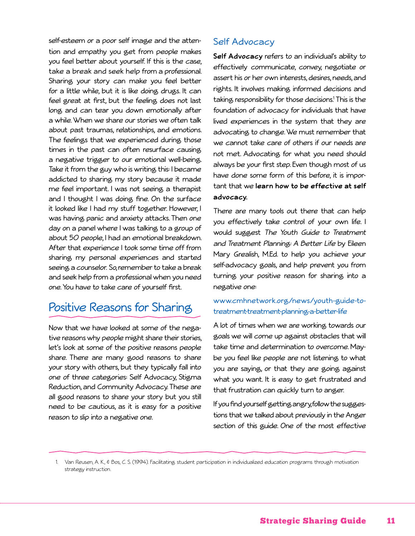self-esteem or a poor self image and the attention and empathy you get from people makes you feel better about yourself. If this is the case, take a break and seek help from a professional. Sharing your story can make you feel better for a little while, but it is like doing drugs. It can feel great at first, but the feeling does not last long and can tear you down emotionally after a while. When we share our stories we often talk about past traumas, relationships, and emotions. The feelings that we experienced during those times in the past can often resurface causing a negative trigger to our emotional well-being. Take it from the guy who is writing this: I became addicted to sharing my story because it made me feel important. I was not seeing a therapist and I thought I was doing fine. On the surface it looked like I had my stuff together. However, I was having panic and anxiety attacks. Then one day on a panel where I was talking to a group of about 50 people, I had an emotional breakdown. After that experience I took some time off from sharing my personal experiences and started seeing a counselor. So, remember to take a break and seek help from a professional when you need one. You have to take care of yourself first.

## Positive Reasons for Sharing

Now that we have looked at some of the negative reasons why people might share their stories, let's look at some of the positive reasons people share. There are many good reasons to share your story with others, but they typically fall into one of three categories: Self Advocacy, Stigma Reduction, and Community Advocacy. These are all good reasons to share your story but you still need to be cautious, as it is easy for a positive reason to slip into a negative one.

#### Self Advocacy

**Self Advocacy** refers to an individual's ability to effectively communicate, convey, negotiate or assert his or her own interests, desires, needs, and rights. It involves making informed decisions and taking responsibility for those decisions.1 This is the foundation of advocacy for individuals that have lived experiences in the system that they are advocating to change. We must remember that we cannot take care of others if our needs are not met. Advocating for what you need should always be your first step. Even though most of us have done some form of this before, it is important that we **learn how to be effective at self advocacy.** 

There are many tools out there that can help you effectively take control of your own life. I would suggest The Youth Guide to Treatment and Treatment Planning: A Better Life by Eileen Mary Grealish, M.Ed. to help you achieve your self-advocacy goals, and help prevent you from turning your positive reason for sharing into a negative one:

#### www.cmhnetwork.org/news/youth-guide-totreatment-treatment-planning-a-better-life

A lot of times when we are working towards our goals we will come up against obstacles that will take time and determination to overcome. Maybe you feel like people are not listening to what you are saying, or that they are going against what you want. It is easy to get frustrated and that frustration can quickly turn to anger.

If you find yourself getting angry, follow the suggestions that we talked about previously in the Anger section of this guide. One of the most effective

1. Van Reusen, A. K., & Bos, C. S. (1994). Facilitating student participation in individualized education programs through motivation strategy instruction.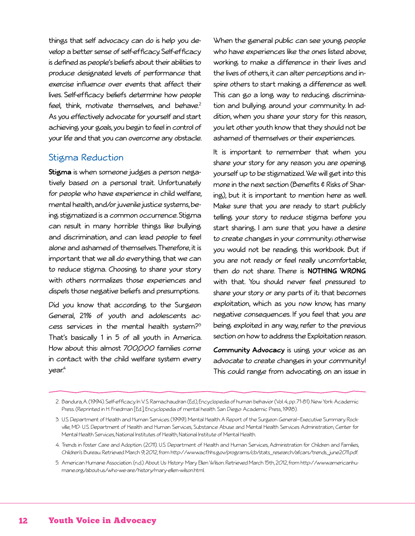things that self advocacy can do is help you develop a better sense of self-efficacy. Self-efficacy is defined as people's beliefs about their abilities to produce designated levels of performance that exercise influence over events that affect their lives. Self-efficacy beliefs determine how people feel, think, motivate themselves, and behave. $2^2$ As you effectively advocate for yourself and start achieving your goals, you begin to feel in control of your life and that you can overcome any obstacle.

#### Stigma Reduction

**Stigma** is when someone judges a person negatively based on a personal trait. Unfortunately for people who have experience in child welfare, mental health, and/or juvenile justice systems, being stigmatized is a common occurrence. Stigma can result in many horrible things like bullying and discrimination, and can lead people to feel alone and ashamed of themselves. Therefore, it is important that we all do everything that we can to reduce stigma. Choosing to share your story with others normalizes those experiences and dispels those negative beliefs and presumptions.

Did you know that according to the Surgeon General, 21% of youth and adolescents access services in the mental health system? $3^3$ That's basically 1 in 5 of all youth in America. How about this: almost 700,000 families come in contact with the child welfare system every year.<sup>4</sup>

When the general public can see young people who have experiences like the ones listed above, working to make a difference in their lives and the lives of others, it can alter perceptions and inspire others to start making a difference as well. This can go a long way to reducing discrimination and bullying around your community. In addition, when you share your story for this reason, you let other youth know that they should not be ashamed of themselves or their experiences.

It is important to remember that when you share your story for any reason you are opening yourself up to be stigmatized. We will get into this more in the next section (Benefits & Risks of Sharing), but it is important to mention here as well. Make sure that you are ready to start publicly telling your story to reduce stigma before you start sharing. I am sure that you have a desire to create changes in your community; otherwise you would not be reading this workbook. But if you are not ready or feel really uncomfortable, then do not share. There is **NOTHING WRONG** with that. You should never feel pressured to share your story or any parts of it; that becomes exploitation, which as you now know, has many negative consequences. If you feel that you are being exploited in any way, refer to the previous section on how to address the Exploitation reason.

**Community Advocacy** is using your voice as an advocate to create changes in your community! This could range from advocating on an issue in

<sup>2.</sup> Bandura, A. (1994). Self-efficacy. In V.S. Ramachaudran (Ed.), Encyclopedia of human behavior (Vol. 4, pp. 71-81). New York: Academic Press. (Reprinted in H. Friedman [Ed.], Encyclopedia of mental health. San Diego: Academic Press, 1998).

<sup>3.</sup> U.S. Department of Health and Human Services. (1999). Mental Health. A Report of the Surgeon General–Executive Summary. Rockville, MD: U.S. Department of Health and Human Services, Substance Abuse and Mental Health Services Administration, Center for Mental Health Services, National Institutes of Health, National Institute of Mental Health.

<sup>4.</sup> Trends in Foster Care and Adoption. (2011). U.S. Department of Health and Human Services, Administration for Children and Families, Children's Bureau. Retrieved March 9, 2012,from http://www.acf.hhs.gov/programs/cb/stats\_research/afcars/trends\_june2011.pdf.

<sup>5.</sup> American Humane Association. (n.d.).About Us: History: Mary Ellen Wilson. Retrieved March 15th, 2012,from http://www.americanhumane.org/about-us/who-we-are/history/mary-ellen-wilson.html.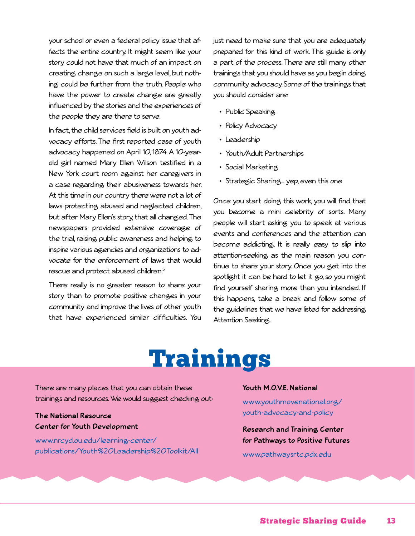your school or even a federal policy issue that affects the entire country. It might seem like your story could not have that much of an impact on creating change on such a large level, but nothing could be further from the truth. People who have the power to create change are greatly influenced by the stories and the experiences of the people they are there to serve.

In fact, the child services field is built on youth advocacy efforts. The first reported case of youth advocacy happened on April 10, 1874. A 10-yearold girl named Mary Ellen Wilson testified in a New York court room against her caregivers in a case regarding their abusiveness towards her. At this time in our country there were not a lot of laws protecting abused and neglected children, but after Mary Ellen's story, that all changed. The newspapers provided extensive coverage of the trial, raising public awareness and helping to inspire various agencies and organizations to advocate for the enforcement of laws that would rescue and protect abused children.5

There really is no greater reason to share your story than to promote positive changes in your community and improve the lives of other youth that have experienced similar difficulties. You just need to make sure that you are adequately prepared for this kind of work. This guide is only a part of the process. There are still many other trainings that you should have as you begin doing community advocacy. Some of the trainings that you should consider are:

- Public Speaking
- Policy Advocacy
- Leadership
- Youth/Adult Partnerships
- Social Marketing
- Strategic Sharing… yep, even this one

Once you start doing this work, you will find that you become a mini celebrity of sorts. Many people will start asking you to speak at various events and conferences and the attention can become addicting. It is really easy to slip into attention-seeking as the main reason you continue to share your story. Once you get into the spotlight it can be hard to let it go, so you might find yourself sharing more than you intended. If this happens, take a break and follow some of the guidelines that we have listed for addressing Attention Seeking.

# Trainings

There are many places that you can obtain these trainings and resources. We would suggest checking out:

**The National Resource Center for Youth Development** 

www.nrcyd.ou.edu/learning-center/ publications/Youth%20Leadership%20Toolkit/All

#### **Youth M.O.V.E. National**

www.youthmovenational.org/ youth-advocacy-and-policy

**Research and Training Center for Pathways to Positive Futures**

www.pathwaysrtc.pdx.edu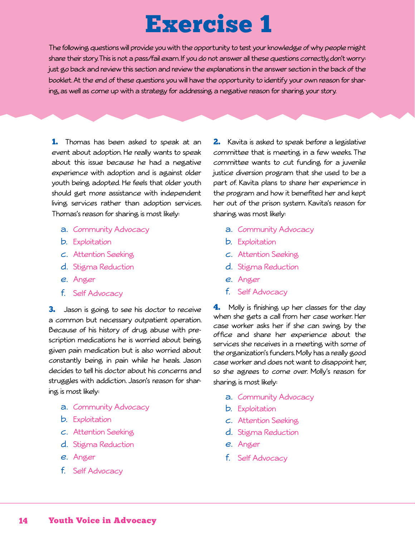# Exercise 1

The following questions will provide you with the opportunity to test your knowledge of why people might share their story. This is not a pass/fail exam. If you do not answer all these questions correctly, don't worry: just go back and review this section and review the explanations in the answer section in the back of the booklet. At the end of these questions you will have the opportunity to identify your own reason for sharing, as well as come up with a strategy for addressing a negative reason for sharing your story.

1. Thomas has been asked to speak at an event about adoption. He really wants to speak about this issue because he had a negative experience with adoption and is against older youth being adopted. He feels that older youth should get more assistance with independent living services rather than adoption services. Thomas's reason for sharing is most likely:

- a. Community Advocacy
- b. Exploitation
- c. Attention Seeking
- d. Stigma Reduction
- e. Anger
- f. Self Advocacy

3. Jason is going to see his doctor to receive a common but necessary outpatient operation. Because of his history of drug abuse with prescription medications he is worried about being given pain medication but is also worried about constantly being in pain while he heals. Jason decides to tell his doctor about his concerns and struggles with addiction. Jason's reason for sharing is most likely:

- a. Community Advocacy
- b. Exploitation
- c. Attention Seeking
- d. Stigma Reduction
- e. Anger
- f. Self Advocacy

2. Kavita is asked to speak before a legislative committee that is meeting in a few weeks. The committee wants to cut funding for a juvenile justice diversion program that she used to be a part of. Kavita plans to share her experience in the program and how it benefited her and kept her out of the prison system. Kavita's reason for sharing was most likely:

- a. Community Advocacy
- b. Exploitation
- c. Attention Seeking
- d. Stigma Reduction
- e. Anger
- f. Self Advocacy

**4.** Molly is finishing up her classes for the day when she gets a call from her case worker. Her case worker asks her if she can swing by the office and share her experience about the services she receives in a meeting with some of the organization's funders. Molly has a really good case worker and does not want to disappoint her, so she agrees to come over. Molly's reason for sharing is most likely:

- a. Community Advocacy
- b. Exploitation
- c. Attention Seeking
- d. Stigma Reduction
- e. Anger
- f. Self Advocacy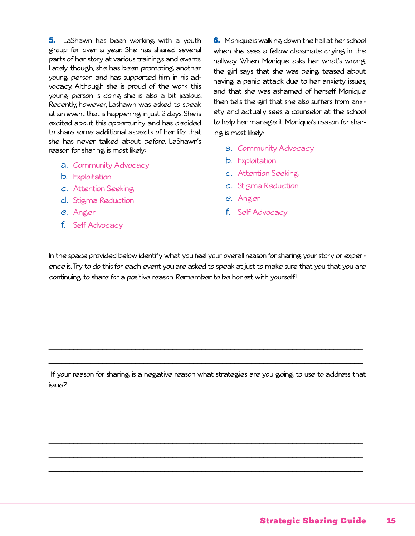5. LaShawn has been working with a youth group for over a year. She has shared several parts of her story at various trainings and events. Lately though, she has been promoting another young person and has supported him in his advocacy. Although she is proud of the work this young person is doing she is also a bit jealous. Recently, however, Lashawn was asked to speak at an event that is happening in just 2 days. She is excited about this opportunity and has decided to share some additional aspects of her life that she has never talked about before. LaShawn's reason for sharing is most likely:

- a. Community Advocacy
- b. Exploitation
- c. Attention Seeking
- d. Stigma Reduction
- e. Anger
- f. Self Advocacy

**6.** Monique is walking down the hall at her school when she sees a fellow classmate crying in the hallway. When Monique asks her what's wrong, the girl says that she was being teased about having a panic attack due to her anxiety issues, and that she was ashamed of herself. Monique then tells the girl that she also suffers from anxiety and actually sees a counselor at the school to help her manage it. Monique's reason for sharing is most likely:

- a. Community Advocacy
- b. Exploitation
- c. Attention Seeking
- d. Stigma Reduction
- e. Anger
- f. Self Advocacy

In the space provided below identify what you feel your overall reason for sharing your story or experience is. Try to do this for each event you are asked to speak at just to make sure that you that you are continuing to share for a positive reason. Remember to be honest with yourself!

\_\_\_\_\_\_\_\_\_\_\_\_\_\_\_\_\_\_\_\_\_\_\_\_\_\_\_\_\_\_\_\_\_\_\_\_\_\_\_\_\_\_\_\_\_\_\_\_\_\_\_\_\_\_\_\_\_\_\_\_\_\_\_\_\_\_\_\_\_\_\_\_\_\_\_\_

\_\_\_\_\_\_\_\_\_\_\_\_\_\_\_\_\_\_\_\_\_\_\_\_\_\_\_\_\_\_\_\_\_\_\_\_\_\_\_\_\_\_\_\_\_\_\_\_\_\_\_\_\_\_\_\_\_\_\_\_\_\_\_\_\_\_\_\_\_\_\_\_\_\_\_\_

\_\_\_\_\_\_\_\_\_\_\_\_\_\_\_\_\_\_\_\_\_\_\_\_\_\_\_\_\_\_\_\_\_\_\_\_\_\_\_\_\_\_\_\_\_\_\_\_\_\_\_\_\_\_\_\_\_\_\_\_\_\_\_\_\_\_\_\_\_\_\_\_\_\_\_\_

\_\_\_\_\_\_\_\_\_\_\_\_\_\_\_\_\_\_\_\_\_\_\_\_\_\_\_\_\_\_\_\_\_\_\_\_\_\_\_\_\_\_\_\_\_\_\_\_\_\_\_\_\_\_\_\_\_\_\_\_\_\_\_\_\_\_\_\_\_\_\_\_\_\_\_\_

\_\_\_\_\_\_\_\_\_\_\_\_\_\_\_\_\_\_\_\_\_\_\_\_\_\_\_\_\_\_\_\_\_\_\_\_\_\_\_\_\_\_\_\_\_\_\_\_\_\_\_\_\_\_\_\_\_\_\_\_\_\_\_\_\_\_\_\_\_\_\_\_\_\_\_\_

\_\_\_\_\_\_\_\_\_\_\_\_\_\_\_\_\_\_\_\_\_\_\_\_\_\_\_\_\_\_\_\_\_\_\_\_\_\_\_\_\_\_\_\_\_\_\_\_\_\_\_\_\_\_\_\_\_\_\_\_\_\_\_\_\_\_\_\_\_\_\_\_\_\_\_\_

 If your reason for sharing is a negative reason what strategies are you going to use to address that issue?

\_\_\_\_\_\_\_\_\_\_\_\_\_\_\_\_\_\_\_\_\_\_\_\_\_\_\_\_\_\_\_\_\_\_\_\_\_\_\_\_\_\_\_\_\_\_\_\_\_\_\_\_\_\_\_\_\_\_\_\_\_\_\_\_\_\_\_\_\_\_\_\_\_\_\_\_

\_\_\_\_\_\_\_\_\_\_\_\_\_\_\_\_\_\_\_\_\_\_\_\_\_\_\_\_\_\_\_\_\_\_\_\_\_\_\_\_\_\_\_\_\_\_\_\_\_\_\_\_\_\_\_\_\_\_\_\_\_\_\_\_\_\_\_\_\_\_\_\_\_\_\_\_

\_\_\_\_\_\_\_\_\_\_\_\_\_\_\_\_\_\_\_\_\_\_\_\_\_\_\_\_\_\_\_\_\_\_\_\_\_\_\_\_\_\_\_\_\_\_\_\_\_\_\_\_\_\_\_\_\_\_\_\_\_\_\_\_\_\_\_\_\_\_\_\_\_\_\_\_

\_\_\_\_\_\_\_\_\_\_\_\_\_\_\_\_\_\_\_\_\_\_\_\_\_\_\_\_\_\_\_\_\_\_\_\_\_\_\_\_\_\_\_\_\_\_\_\_\_\_\_\_\_\_\_\_\_\_\_\_\_\_\_\_\_\_\_\_\_\_\_\_\_\_\_\_

\_\_\_\_\_\_\_\_\_\_\_\_\_\_\_\_\_\_\_\_\_\_\_\_\_\_\_\_\_\_\_\_\_\_\_\_\_\_\_\_\_\_\_\_\_\_\_\_\_\_\_\_\_\_\_\_\_\_\_\_\_\_\_\_\_\_\_\_\_\_\_\_\_\_\_\_

\_\_\_\_\_\_\_\_\_\_\_\_\_\_\_\_\_\_\_\_\_\_\_\_\_\_\_\_\_\_\_\_\_\_\_\_\_\_\_\_\_\_\_\_\_\_\_\_\_\_\_\_\_\_\_\_\_\_\_\_\_\_\_\_\_\_\_\_\_\_\_\_\_\_\_\_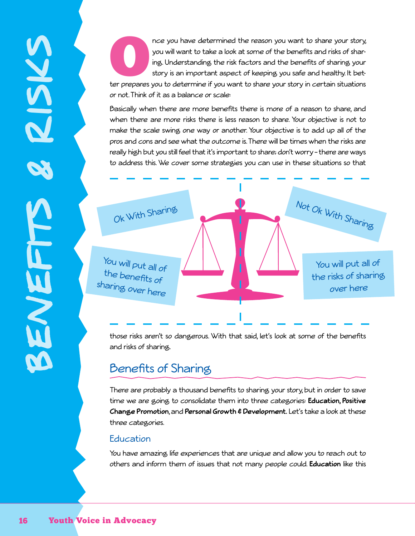nce you have determined the reason you want to share your story, you will want to take a look at some of the benefits and risks of sharing you story is an important aspect of keeping you safe and healthy. It better prepare you will want to take a look at some of the benefits and risks of sharing. Understanding the risk factors and the benefits of sharing your story is an important aspect of keeping you safe and healthy. It betor not. Think of it as a balance or scale:

Basically when there are more benefits there is more of a reason to share, and when there are more risks there is less reason to share. Your objective is not to make the scale swing one way or another. Your objective is to add up all of the pros and cons and see what the outcome is. There will be times when the risks are really high but you still feel that it's important to share; don't worry – there are ways to address this. We cover some strategies you can use in these situations so that



those risks aren't so dangerous. With that said, let's look at some of the benefits and risks of sharing.

## Benefits of Sharing

There are probably a thousand benefits to sharing your story, but in order to save time we are going to consolidate them into three categories: **Education, Positive Change Promotion**, and **Personal Growth & Development.** Let's take a look at these three categories.

#### **Education**

You have amazing life experiences that are unique and allow you to reach out to others and inform them of issues that not many people could. **Education** like this

benefits & risks

ENEFTTS

SYSKS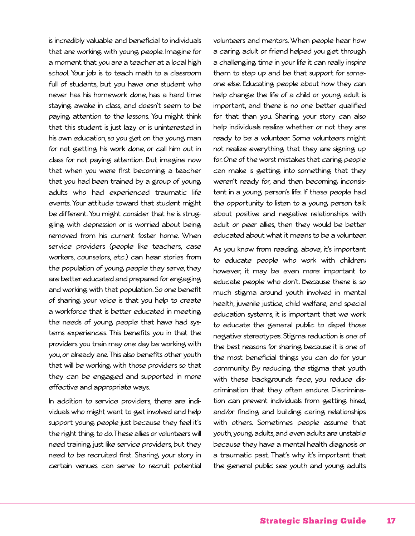is incredibly valuable and beneficial to individuals that are working with young people. Imagine for a moment that you are a teacher at a local high school. Your job is to teach math to a classroom full of students, but you have one student who never has his homework done, has a hard time staying awake in class, and doesn't seem to be paying attention to the lessons. You might think that this student is just lazy or is uninterested in his own education, so you get on the young man for not getting his work done, or call him out in class for not paying attention. But imagine now that when you were first becoming a teacher that you had been trained by a group of young adults who had experienced traumatic life events. Your attitude toward that student might be different. You might consider that he is struggling with depression or is worried about being removed from his current foster home. When service providers (people like teachers, case workers, counselors, etc.) can hear stories from the population of young people they serve, they are better educated and prepared for engaging and working with that population. So one benefit of sharing your voice is that you help to create a workforce that is better educated in meeting the needs of young people that have had systems experiences. This benefits you in that the providers you train may one day be working with you, or already are. This also benefits other youth that will be working with those providers so that they can be engaged and supported in more effective and appropriate ways.

In addition to service providers, there are individuals who might want to get involved and help support young people just because they feel it's the right thing to do. These allies or volunteers will need training just like service providers, but they need to be recruited first. Sharing your story in certain venues can serve to recruit potential

volunteers and mentors. When people hear how a caring adult or friend helped you get through a challenging time in your life it can really inspire them to step up and be that support for someone else. Educating people about how they can help change the life of a child or young adult is important, and there is no one better qualified for that than you. Sharing your story can also help individuals realize whether or not they are ready to be a volunteer. Some volunteers might not realize everything that they are signing up for. One of the worst mistakes that caring people can make is getting into something that they weren't ready for, and then becoming inconsistent in a young person's life. If these people had the opportunity to listen to a young person talk about positive and negative relationships with adult or peer allies, then they would be better educated about what it means to be a volunteer.

As you know from reading above, it's important to educate people who work with children; however, it may be even more important to educate people who don't. Because there is so much stigma around youth involved in mental health, juvenile justice, child welfare, and special education systems, it is important that we work to educate the general public to dispel those negative stereotypes. Stigma reduction is one of the best reasons for sharing because it is one of the most beneficial things you can do for your community. By reducing the stigma that youth with these backgrounds face, you reduce discrimination that they often endure. Discrimination can prevent individuals from getting hired, and/or finding and building caring relationships with others. Sometimes people assume that youth, young adults, and even adults are unstable because they have a mental health diagnosis or a traumatic past. That's why it's important that the general public see youth and young adults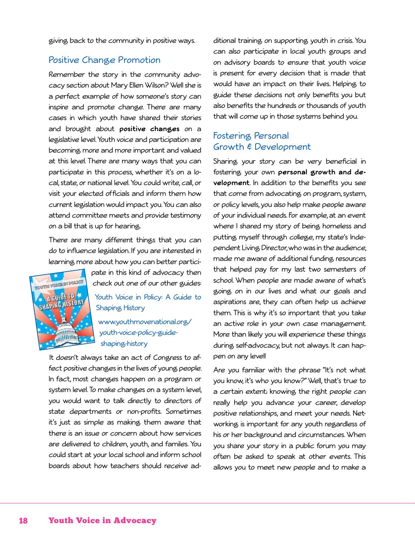giving back to the community in positive ways.

#### Positive Change Promotion

Remember the story in the community advocacy section about Mary Ellen Wilson? Well she is a perfect example of how someone's story can inspire and promote change. There are many cases in which youth have shared their stories and brought about **positive changes** on a legislative level. Youth voice and participation are becoming more and more important and valued at this level. There are many ways that you can participate in this process, whether it's on a local, state, or national level. You could write, call, or visit your elected officials and inform them how current legislation would impact you. You can also attend committee meets and provide testimony on a bill that is up for hearing.

There are many different things that you can do to influence legislation. If you are interested in learning more about how you can better partici-



pate in this kind of advocacy then check out one of our other guides:

Youth Voice in Policy: A Guide to Shaping History

www.youthmovenational.org/ youth-voice-policy-guideshaping-history

It doesn't always take an act of Congress to affect positive changes in the lives of young people. In fact, most changes happen on a program or system level. To make changes on a system level, you would want to talk directly to directors of state departments or non-profits. Sometimes it's just as simple as making them aware that there is an issue or concern about how services are delivered to children, youth, and familes. You could start at your local school and inform school boards about how teachers should receive additional training on supporting youth in crisis. You can also participate in local youth groups and on advisory boards to ensure that youth voice is present for every decision that is made that would have an impact on their lives. Helping to guide these decisions not only benefits you but also benefits the hundreds or thousands of youth that will come up in those systems behind you.

#### Fostering Personal Growth & Development

Sharing your story can be very beneficial in fostering your own **personal growth and development**. In addition to the benefits you see that come from advocating on program, system, or policy levels, you also help make people aware of your individual needs. For example, at an event where I shared my story of being homeless and putting myself through college, my state's Independent Living Director, who was in the audience, made me aware of additional funding resources that helped pay for my last two semesters of school. When people are made aware of what's going on in our lives and what our goals and aspirations are, they can often help us achieve them. This is why it's so important that you take an active role in your own case management. More than likely you will experience these things during self-advocacy, but not always. It can happen on any level!

Are you familiar with the phrase "It's not what you know, it's who you know?" Well, that's true to a certain extent; knowing the right people can really help you advance your career, develop positive relationships, and meet your needs. Networking is important for any youth regardless of his or her background and circumstances. When you share your story in a public forum you may often be asked to speak at other events. This allows you to meet new people and to make a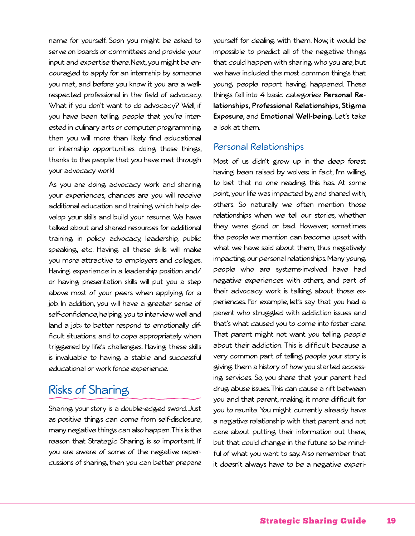name for yourself. Soon you might be asked to serve on boards or committees and provide your input and expertise there. Next, you might be encouraged to apply for an internship by someone you met, and before you know it you are a wellrespected professional in the field of advocacy. What if you don't want to do advocacy? Well, if you have been telling people that you're interested in culinary arts or computer programming then you will more than likely find educational or internship opportunities doing those things, thanks to the people that you have met through your advocacy work!

As you are doing advocacy work and sharing your experiences, chances are you will receive additional education and training which help develop your skills and build your resume. We have talked about and shared resources for additional training in policy advocacy, leadership, public speaking, etc. Having all these skills will make you more attractive to employers and colleges. Having experience in a leadership position and/ or having presentation skills will put you a step above most of your peers when applying for a job. In addition, you will have a greater sense of self-confidence, helping you to interview well and land a job; to better respond to emotionally difficult situations; and to cope appropriately when triggered by life's challenges. Having these skills is invaluable to having a stable and successful educational or work force experience.

## Risks of Sharing

Sharing your story is a double-edged sword. Just as positive things can come from self-disclosure, many negative things can also happen. This is the reason that Strategic Sharing is so important. If you are aware of some of the negative repercussions of sharing, then you can better prepare

yourself for dealing with them. Now, it would be impossible to predict all of the negative things that could happen with sharing who you are, but we have included the most common things that young people report having happened. These things fall into 4 basic categories: **Personal Relationships, Professional Relationships, Stigma Exposure,** and **Emotional Well-being**. Let's take a look at them.

#### Personal Relationships

Most of us didn't grow up in the deep forest having been raised by wolves; in fact, I'm willing to bet that no one reading this has. At some point, your life was impacted by, and shared with, others. So naturally we often mention those relationships when we tell our stories, whether they were good or bad. However, sometimes the people we mention can become upset with what we have said about them, thus negatively impacting our personal relationships. Many young people who are systems-involved have had negative experiences with others, and part of their advocacy work is talking about those experiences. For example, let's say that you had a parent who struggled with addiction issues and that's what caused you to come into foster care. That parent might not want you telling people about their addiction. This is difficult because a very common part of telling people your story is giving them a history of how you started accessing services. So, you share that your parent had drug abuse issues. This can cause a rift between you and that parent, making it more difficult for you to reunite. You might currently already have a negative relationship with that parent and not care about putting their information out there, but that could change in the future so be mindful of what you want to say. Also remember that it doesn't always have to be a negative experi-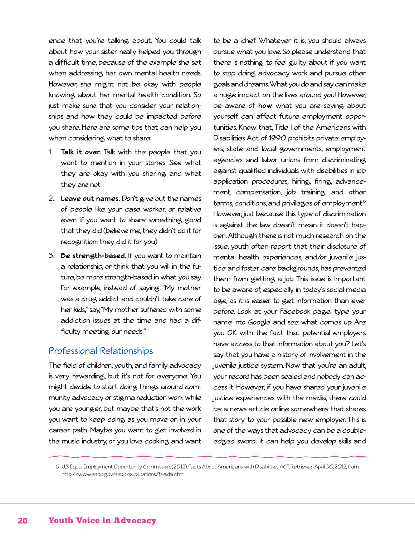ence that you're talking about. You could talk about how your sister really helped you through a difficult time, because of the example she set when addressing her own mental health needs. However, she might not be okay with people knowing about her mental health condition. So just make sure that you consider your relationships and how they could be impacted before you share. Here are some tips that can help you when considering what to share:

- 1. **Talk it over.** Talk with the people that you want to mention in your stories. See what they are okay with you sharing and what they are not.
- 2. **Leave out names.** Don't give out the names of people like your case worker, or relative even if you want to share something good that they did (believe me, they didn't do it for recognition; they did it for you)
- 3. **Be strength-based.** If you want to maintain a relationship, or think that you will in the future, be more strength-based in what you say. For example, instead of saying, "My mother was a drug addict and couldn't take care of her kids," say, "My mother suffered with some addiction issues at the time and had a difficulty meeting our needs."

#### Professional Relationships

The field of children, youth, and family advocacy is very rewarding, but it's not for everyone. You might decide to start doing things around community advocacy or stigma reduction work while you are younger, but maybe that's not the work you want to keep doing as you move on in your career path. Maybe you want to get involved in the music industry, or you love cooking and want

to be a chef. Whatever it is, you should always pursue what you love. So please understand that there is nothing to feel guilty about if you want to stop doing advocacy work and pursue other goals and dreams. What you do and say can make a huge impact on the lives around you! However, be aware of **how** what you are saying about yourself can affect future employment opportunities. Know that, Title I of the Americans with Disabilities Act of 1990 prohibits private employers, state and local governments, employment agencies and labor unions from discriminating against qualified individuals with disabilities in job application procedures, hiring, firing, advancement, compensation, job training, and other terms, conditions, and privileges of employment.<sup>6</sup> However, just because this type of discrimination is against the law doesn't mean it doesn't happen. Although there is not much research on the issue, youth often report that their disclosure of mental health experiences, and/or juvenile justice and foster care backgrounds, has prevented them from getting a job. This issue is important to be aware of, especially in today's social media age, as it is easier to get information than ever before. Look at your Facebook page; type your name into Google and see what comes up. Are you OK with the fact that potential employers have access to that information about you? Let's say that you have a history of involvement in the juvenile justice system. Now that you're an adult, your record has been sealed and nobody can access it. However, if you have shared your juvenile justice experiences with the media, there could be a news article online somewhere that shares that story to your possible new employer. This is one of the ways that advocacy can be a doubleedged sword: it can help you develop skills and

6. U.S. Equal Employment Opportunity Commission. (2012). Facts About Americans with Disabilities ACT. Retrieved April 30, 2012,from http://www.eeoc.gov/eeoc/publications/fs-ada.cfm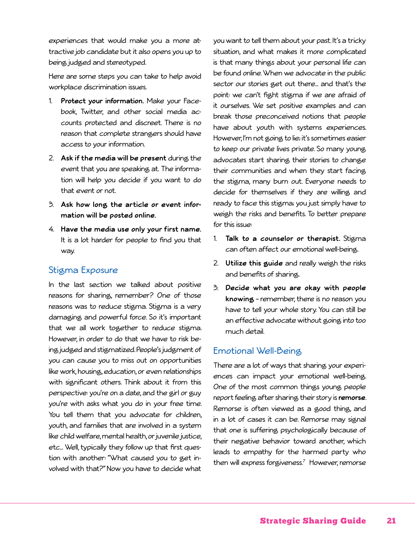experiences that would make you a more attractive job candidate but it also opens you up to being judged and stereotyped.

Here are some steps you can take to help avoid workplace discrimination issues.

- 1. **Protect your information.** Make your Facebook, Twitter, and other social media accounts protected and discreet. There is no reason that complete strangers should have access to your information.
- 2. **Ask if the media will be present** during the event that you are speaking at. The information will help you decide if you want to do that event or not.
- 3. **Ask how long the article or event information will be posted online.**
- 4. **Have the media use only your first name.** It is a lot harder for people to find you that way.

#### Stigma Exposure

In the last section we talked about positive reasons for sharing, remember? One of those reasons was to reduce stigma. Stigma is a very damaging and powerful force. So it's important that we all work together to reduce stigma. However, in order to do that we have to risk being judged and stigmatized. People's judgment of you can cause you to miss out on opportunities like work, housing, education, or even relationships with significant others. Think about it from this perspective: you're on a date, and the girl or guy you're with asks what you do in your free time. You tell them that you advocate for children, youth, and families that are involved in a system like child welfare, mental health, or juvenile justice, etc… Well, typically they follow up that first question with another: "What caused you to get involved with that?" Now you have to decide what

you want to tell them about your past. It's a tricky situation, and what makes it more complicated is that many things about your personal life can be found online. When we advocate in the public sector our stories get out there… and that's the point: we can't fight stigma if we are afraid of it ourselves. We set positive examples and can break those preconceived notions that people have about youth with systems experiences. However, I'm not going to lie; it's sometimes easier to keep our private lives private. So many young advocates start sharing their stories to change their communities and when they start facing the stigma, many burn out. Everyone needs to decide for themselves if they are willing and ready to face this stigma; you just simply have to weigh the risks and benefits. To better prepare for this issue:

- 1. **Talk to a counselor or therapist.** Stigma can often affect our emotional well-being.
- 2. **Utilize this guide** and really weigh the risks and benefits of sharing.
- 3. **Decide what you are okay with people knowing** – remember, there is no reason you have to tell your whole story. You can still be an effective advocate without going into too much detail.

#### Emotional Well-Being

There are a lot of ways that sharing your experiences can impact your emotional well-being. One of the most common things young people report feeling after sharing their story is **remorse**. Remorse is often viewed as a good thing, and in a lot of cases it can be. Remorse may signal that one is suffering psychologically because of their negative behavior toward another, which leads to empathy for the harmed party who then will express forgiveness.7 However, remorse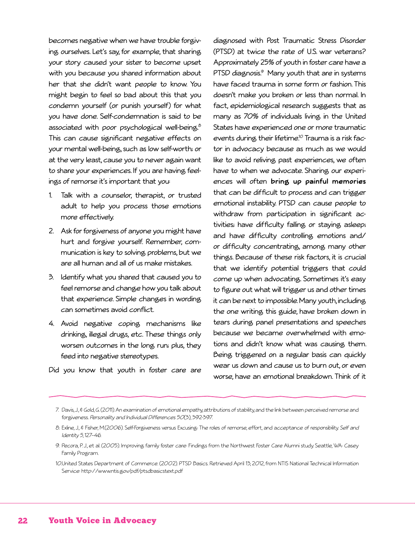becomes negative when we have trouble forgiving ourselves. Let's say, for example, that sharing your story caused your sister to become upset with you because you shared information about her that she didn't want people to know. You might begin to feel so bad about this that you condemn yourself (or punish yourself) for what you have done. Self-condemnation is said to be associated with poor psychological well-being.<sup>8</sup> This can cause significant negative effects on your mental well-being, such as low self-worth; or at the very least, cause you to never again want to share your experiences. If you are having feelings of remorse it's important that you:

- 1. Talk with a counselor, therapist, or trusted adult to help you process those emotions more effectively.
- 2. Ask for forgiveness of anyone you might have hurt and forgive yourself. Remember, communication is key to solving problems, but we are all human and all of us make mistakes.
- 3. Identify what you shared that caused you to feel remorse and change how you talk about that experience. Simple changes in wording can sometimes avoid conflict.
- 4. Avoid negative coping mechanisms like drinking, illegal drugs, etc. These things only worsen outcomes in the long run; plus, they feed into negative stereotypes.

Did you know that youth in foster care are

diagnosed with Post Traumatic Stress Disorder (PTSD) at twice the rate of U.S. war veterans? Approximately 25% of youth in foster care have a PTSD diagnosis.<sup>9</sup> Many youth that are in systems have faced trauma in some form or fashion. This doesn't make you broken or less than normal. In fact, epidemiological research suggests that as many as 70% of individuals living in the United States have experienced one or more traumatic events during their lifetime.<sup>10</sup> Trauma is a risk factor in advocacy because as much as we would like to avoid reliving past experiences, we often have to when we advocate. Sharing our experiences will often **bring up painful memories** that can be difficult to process and can trigger emotional instability. PTSD can cause people to withdraw from participation in significant activities; have difficulty falling or staying asleep; and have difficulty controlling emotions and/ or difficulty concentrating, among many other things. Because of these risk factors, it is crucial that we identify potential triggers that could come up when advocating. Sometimes it's easy to figure out what will trigger us and other times it can be next to impossible. Many youth, including the one writing this guide, have broken down in tears during panel presentations and speeches because we became overwhelmed with emotions and didn't know what was causing them. Being triggered on a regular basis can quickly wear us down and cause us to burn out, or even worse, have an emotional breakdown. Think of it

<sup>7.</sup> Davis, J, & Gold, G. (2011). An examination of emotional empathy, attributions of stability, and the link between perceived remorse and forgiveness. Personality and Individual Differences <sup>50</sup>(3), 392-397.

<sup>8.</sup> Exline, J., & Fisher, M.(2006). Self-Forgiveness versus Excusing: The roles of remorse, effort, and acceptance of responsibility. Self and Identity <sup>5</sup>, 127–46.

<sup>9.</sup> Pecora, P.J., et al. (2005). Improving family foster care: Findings from the Northwest Foster Care Alumni study. Seattle, WA: Casey Family Program.

<sup>10.</sup>United States Department of Commerce. (2002). PTSD Basics. Retrieved April 13, 2012,from NTIS National Technical Information Service: http://www.ntis.gov/pdf/ptsdbasicstext.pdf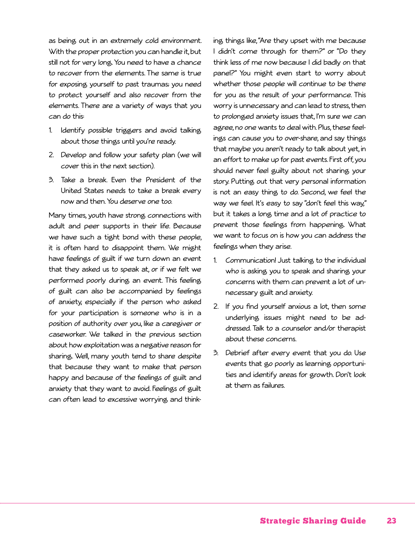as being out in an extremely cold environment. With the proper protection you can handle it, but still not for very long. You need to have a chance to recover from the elements. The same is true for exposing yourself to past traumas; you need to protect yourself and also recover from the elements. There are a variety of ways that you can do this:

- 1. Identify possible triggers and avoid talking about those things until you're ready.
- 2. Develop and follow your safety plan (we will cover this in the next section).
- 3. Take a break. Even the President of the United States needs to take a break every now and then. You deserve one too.

Many times, youth have strong connections with adult and peer supports in their life. Because we have such a tight bond with these people, it is often hard to disappoint them. We might have feelings of guilt if we turn down an event that they asked us to speak at, or if we felt we performed poorly during an event. This feeling of guilt can also be accompanied by feelings of anxiety, especially if the person who asked for your participation is someone who is in a position of authority over you, like a caregiver or caseworker. We talked in the previous section about how exploitation was a negative reason for sharing. Well, many youth tend to share despite that because they want to make that person happy and because of the feelings of guilt and anxiety that they want to avoid. Feelings of guilt can often lead to excessive worrying and thinking things like, "Are they upset with me because I didn't come through for them?" or "Do they think less of me now because I did badly on that panel?" You might even start to worry about whether those people will continue to be there for you as the result of your performance. This worry is unnecessary and can lead to stress, then to prolonged anxiety issues that, I'm sure we can agree, no one wants to deal with. Plus, these feelings can cause you to over-share, and say things that maybe you aren't ready to talk about yet, in an effort to make up for past events. First off, you should never feel guilty about not sharing your story. Putting out that very personal information is not an easy thing to do. Second, we feel the way we feel. It's easy to say "don't feel this way," but it takes a long time and a lot of practice to prevent those feelings from happening. What we want to focus on is how you can address the feelings when they arise.

- 1. Communication! Just talking to the individual who is asking you to speak and sharing your concerns with them can prevent a lot of unnecessary guilt and anxiety.
- 2. If you find yourself anxious a lot, then some underlying issues might need to be addressed. Talk to a counselor and/or therapist about these concerns.
- 3. Debrief after every event that you do. Use events that go poorly as learning opportunities and identify areas for growth. Don't look at them as failures.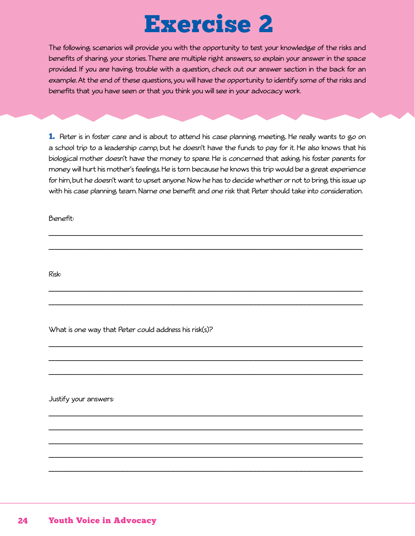# Exercise 2

The following scenarios will provide you with the opportunity to test your knowledge of the risks and benefits of sharing your stories. There are multiple right answers, so explain your answer in the space provided. If you are having trouble with a question, check out our answer section in the back for an example. At the end of these questions, you will have the opportunity to identify some of the risks and benefits that you have seen or that you think you will see in your advocacy work.

1. Peter is in foster care and is about to attend his case planning meeting. He really wants to go on a school trip to a leadership camp, but he doesn't have the funds to pay for it. He also knows that his biological mother doesn't have the money to spare. He is concerned that asking his foster parents for money will hurt his mother's feelings. He is torn because he knows this trip would be a great experience for him, but he doesn't want to upset anyone. Now he has to decide whether or not to bring this issue up with his case planning team. Name one benefit and one risk that Peter should take into consideration.

\_\_\_\_\_\_\_\_\_\_\_\_\_\_\_\_\_\_\_\_\_\_\_\_\_\_\_\_\_\_\_\_\_\_\_\_\_\_\_\_\_\_\_\_\_\_\_\_\_\_\_\_\_\_\_\_\_\_\_\_\_\_\_\_\_\_\_\_\_\_\_\_\_\_\_\_

\_\_\_\_\_\_\_\_\_\_\_\_\_\_\_\_\_\_\_\_\_\_\_\_\_\_\_\_\_\_\_\_\_\_\_\_\_\_\_\_\_\_\_\_\_\_\_\_\_\_\_\_\_\_\_\_\_\_\_\_\_\_\_\_\_\_\_\_\_\_\_\_\_\_\_\_

\_\_\_\_\_\_\_\_\_\_\_\_\_\_\_\_\_\_\_\_\_\_\_\_\_\_\_\_\_\_\_\_\_\_\_\_\_\_\_\_\_\_\_\_\_\_\_\_\_\_\_\_\_\_\_\_\_\_\_\_\_\_\_\_\_\_\_\_\_\_\_\_\_\_\_\_

\_\_\_\_\_\_\_\_\_\_\_\_\_\_\_\_\_\_\_\_\_\_\_\_\_\_\_\_\_\_\_\_\_\_\_\_\_\_\_\_\_\_\_\_\_\_\_\_\_\_\_\_\_\_\_\_\_\_\_\_\_\_\_\_\_\_\_\_\_\_\_\_\_\_\_\_

\_\_\_\_\_\_\_\_\_\_\_\_\_\_\_\_\_\_\_\_\_\_\_\_\_\_\_\_\_\_\_\_\_\_\_\_\_\_\_\_\_\_\_\_\_\_\_\_\_\_\_\_\_\_\_\_\_\_\_\_\_\_\_\_\_\_\_\_\_\_\_\_\_\_\_\_

\_\_\_\_\_\_\_\_\_\_\_\_\_\_\_\_\_\_\_\_\_\_\_\_\_\_\_\_\_\_\_\_\_\_\_\_\_\_\_\_\_\_\_\_\_\_\_\_\_\_\_\_\_\_\_\_\_\_\_\_\_\_\_\_\_\_\_\_\_\_\_\_\_\_\_\_

\_\_\_\_\_\_\_\_\_\_\_\_\_\_\_\_\_\_\_\_\_\_\_\_\_\_\_\_\_\_\_\_\_\_\_\_\_\_\_\_\_\_\_\_\_\_\_\_\_\_\_\_\_\_\_\_\_\_\_\_\_\_\_\_\_\_\_\_\_\_\_\_\_\_\_\_

\_\_\_\_\_\_\_\_\_\_\_\_\_\_\_\_\_\_\_\_\_\_\_\_\_\_\_\_\_\_\_\_\_\_\_\_\_\_\_\_\_\_\_\_\_\_\_\_\_\_\_\_\_\_\_\_\_\_\_\_\_\_\_\_\_\_\_\_\_\_\_\_\_\_\_\_

\_\_\_\_\_\_\_\_\_\_\_\_\_\_\_\_\_\_\_\_\_\_\_\_\_\_\_\_\_\_\_\_\_\_\_\_\_\_\_\_\_\_\_\_\_\_\_\_\_\_\_\_\_\_\_\_\_\_\_\_\_\_\_\_\_\_\_\_\_\_\_\_\_\_\_\_

\_\_\_\_\_\_\_\_\_\_\_\_\_\_\_\_\_\_\_\_\_\_\_\_\_\_\_\_\_\_\_\_\_\_\_\_\_\_\_\_\_\_\_\_\_\_\_\_\_\_\_\_\_\_\_\_\_\_\_\_\_\_\_\_\_\_\_\_\_\_\_\_\_\_\_\_

\_\_\_\_\_\_\_\_\_\_\_\_\_\_\_\_\_\_\_\_\_\_\_\_\_\_\_\_\_\_\_\_\_\_\_\_\_\_\_\_\_\_\_\_\_\_\_\_\_\_\_\_\_\_\_\_\_\_\_\_\_\_\_\_\_\_\_\_\_\_\_\_\_\_\_\_

\_\_\_\_\_\_\_\_\_\_\_\_\_\_\_\_\_\_\_\_\_\_\_\_\_\_\_\_\_\_\_\_\_\_\_\_\_\_\_\_\_\_\_\_\_\_\_\_\_\_\_\_\_\_\_\_\_\_\_\_\_\_\_\_\_\_\_\_\_\_\_\_\_\_\_\_

Benefit:

Risk:

What is one way that Peter could address his risk(s)?

Justify your answers: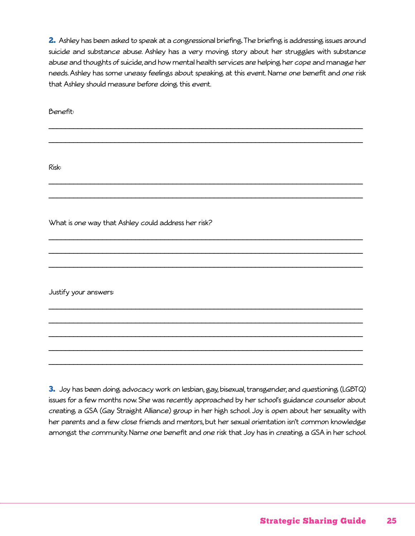2. Ashley has been asked to speak at a congressional briefing. The briefing is addressing issues around suicide and substance abuse. Ashley has a very moving story about her struggles with substance abuse and thoughts of suicide, and how mental health services are helping her cope and manage her needs. Ashley has some uneasy feelings about speaking at this event. Name one benefit and one risk that Ashley should measure before doing this event.

\_\_\_\_\_\_\_\_\_\_\_\_\_\_\_\_\_\_\_\_\_\_\_\_\_\_\_\_\_\_\_\_\_\_\_\_\_\_\_\_\_\_\_\_\_\_\_\_\_\_\_\_\_\_\_\_\_\_\_\_\_\_\_\_\_\_\_\_\_\_\_\_\_\_\_\_

\_\_\_\_\_\_\_\_\_\_\_\_\_\_\_\_\_\_\_\_\_\_\_\_\_\_\_\_\_\_\_\_\_\_\_\_\_\_\_\_\_\_\_\_\_\_\_\_\_\_\_\_\_\_\_\_\_\_\_\_\_\_\_\_\_\_\_\_\_\_\_\_\_\_\_\_

\_\_\_\_\_\_\_\_\_\_\_\_\_\_\_\_\_\_\_\_\_\_\_\_\_\_\_\_\_\_\_\_\_\_\_\_\_\_\_\_\_\_\_\_\_\_\_\_\_\_\_\_\_\_\_\_\_\_\_\_\_\_\_\_\_\_\_\_\_\_\_\_\_\_\_\_

\_\_\_\_\_\_\_\_\_\_\_\_\_\_\_\_\_\_\_\_\_\_\_\_\_\_\_\_\_\_\_\_\_\_\_\_\_\_\_\_\_\_\_\_\_\_\_\_\_\_\_\_\_\_\_\_\_\_\_\_\_\_\_\_\_\_\_\_\_\_\_\_\_\_\_\_

\_\_\_\_\_\_\_\_\_\_\_\_\_\_\_\_\_\_\_\_\_\_\_\_\_\_\_\_\_\_\_\_\_\_\_\_\_\_\_\_\_\_\_\_\_\_\_\_\_\_\_\_\_\_\_\_\_\_\_\_\_\_\_\_\_\_\_\_\_\_\_\_\_\_\_\_

\_\_\_\_\_\_\_\_\_\_\_\_\_\_\_\_\_\_\_\_\_\_\_\_\_\_\_\_\_\_\_\_\_\_\_\_\_\_\_\_\_\_\_\_\_\_\_\_\_\_\_\_\_\_\_\_\_\_\_\_\_\_\_\_\_\_\_\_\_\_\_\_\_\_\_\_

\_\_\_\_\_\_\_\_\_\_\_\_\_\_\_\_\_\_\_\_\_\_\_\_\_\_\_\_\_\_\_\_\_\_\_\_\_\_\_\_\_\_\_\_\_\_\_\_\_\_\_\_\_\_\_\_\_\_\_\_\_\_\_\_\_\_\_\_\_\_\_\_\_\_\_\_

\_\_\_\_\_\_\_\_\_\_\_\_\_\_\_\_\_\_\_\_\_\_\_\_\_\_\_\_\_\_\_\_\_\_\_\_\_\_\_\_\_\_\_\_\_\_\_\_\_\_\_\_\_\_\_\_\_\_\_\_\_\_\_\_\_\_\_\_\_\_\_\_\_\_\_\_

\_\_\_\_\_\_\_\_\_\_\_\_\_\_\_\_\_\_\_\_\_\_\_\_\_\_\_\_\_\_\_\_\_\_\_\_\_\_\_\_\_\_\_\_\_\_\_\_\_\_\_\_\_\_\_\_\_\_\_\_\_\_\_\_\_\_\_\_\_\_\_\_\_\_\_\_

\_\_\_\_\_\_\_\_\_\_\_\_\_\_\_\_\_\_\_\_\_\_\_\_\_\_\_\_\_\_\_\_\_\_\_\_\_\_\_\_\_\_\_\_\_\_\_\_\_\_\_\_\_\_\_\_\_\_\_\_\_\_\_\_\_\_\_\_\_\_\_\_\_\_\_\_

\_\_\_\_\_\_\_\_\_\_\_\_\_\_\_\_\_\_\_\_\_\_\_\_\_\_\_\_\_\_\_\_\_\_\_\_\_\_\_\_\_\_\_\_\_\_\_\_\_\_\_\_\_\_\_\_\_\_\_\_\_\_\_\_\_\_\_\_\_\_\_\_\_\_\_\_

\_\_\_\_\_\_\_\_\_\_\_\_\_\_\_\_\_\_\_\_\_\_\_\_\_\_\_\_\_\_\_\_\_\_\_\_\_\_\_\_\_\_\_\_\_\_\_\_\_\_\_\_\_\_\_\_\_\_\_\_\_\_\_\_\_\_\_\_\_\_\_\_\_\_\_\_

Benefit:

Risk:

What is one way that Ashley could address her risk?

Justify your answers:

3. Joy has been doing advocacy work on lesbian, gay, bisexual, transgender, and questioning (LGBTQ) issues for a few months now. She was recently approached by her school's guidance counselor about creating a GSA (Gay Straight Alliance) group in her high school. Joy is open about her sexuality with her parents and a few close friends and mentors, but her sexual orientation isn't common knowledge amongst the community. Name one benefit and one risk that Joy has in creating a GSA in her school.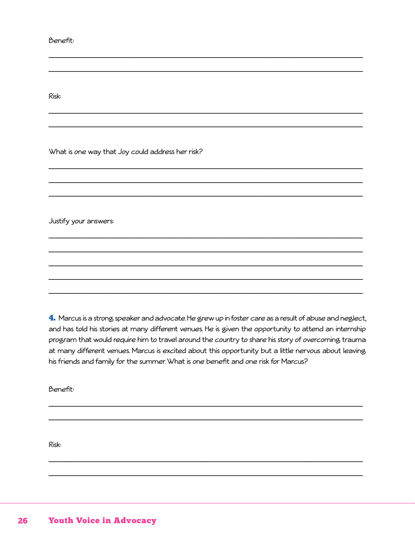Benefit:

Risk:

What is one way that Joy could address her risk?

Justify your answers:

4. Marcus is a strong speaker and advocate. He grew up in foster care as a result of abuse and neglect, and has told his stories at many different venues. He is given the opportunity to attend an internship program that would require him to travel around the country to share his story of overcoming trauma at many different venues. Marcus is excited about this opportunity but a little nervous about leaving his friends and family for the summer. What is one benefit and one risk for Marcus?

Benefit:

Risk: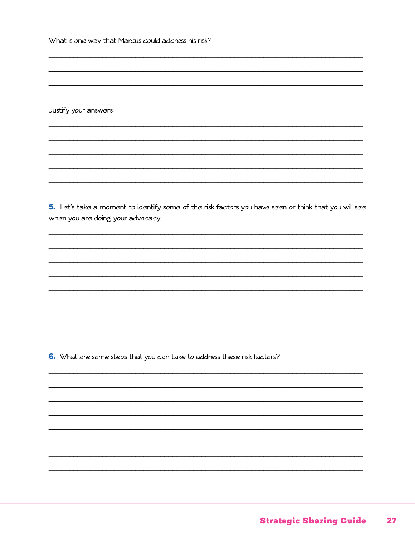What is one way that Marcus could address his risk?

Justify your answers:

5. Let's take a moment to identify some of the risk factors you have seen or think that you will see when you are doing your advocacy.

6. What are some steps that you can take to address these risk factors?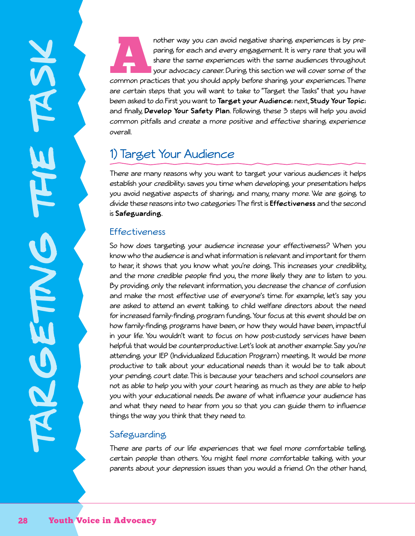nother way you can avoid negative sharing experiences is by pre-<br>paring for each and every engagement. It is very rare that you will<br>share the same experiences with the same audiences throughout<br>your advocacy career. Durin paring for each and every engagement. It is very rare that you will share the same experiences with the same audiences throughout your advocacy career. During this section we will cover some of the are certain steps that you will want to take to "Target the Tasks" that you have been asked to do. First you want to **Target your Audience**; next, **Study Your Topic**; and finally, **Develop Your Safety Plan**. Following these 3 steps will help you avoid common pitfalls and create a more positive and effective sharing experience overall.

# 1) Target Your Audience

There are many reasons why you want to target your various audiences: it helps establish your credibility; saves you time when developing your presentation; helps you avoid negative aspects of sharing; and many, many more. We are going to divide these reasons into two categories: The first is **Effectiveness** and the second is **Safeguarding**.

#### **Effectiveness**

So how does targeting your audience increase your effectiveness? When you know who the audience is and what information is relevant and important for them to hear, it shows that you know what you're doing. This increases your credibility, and the more credible people find you, the more likely they are to listen to you. By providing only the relevant information, you decrease the chance of confusion and make the most effective use of everyone's time. For example, let's say you are asked to attend an event talking to child welfare directors about the need for increased family-finding program funding. Your focus at this event should be on how family-finding programs have been, or how they would have been, impactful in your life. You wouldn't want to focus on how post-custody services have been helpful; that would be counterproductive. Let's look at another example. Say you're attending your IEP (Individualized Education Program) meeting. It would be more productive to talk about your educational needs than it would be to talk about your pending court date. This is because your teachers and school counselors are not as able to help you with your court hearing as much as they are able to help you with your educational needs. Be aware of what influence your audience has and what they need to hear from you so that you can guide them to influence things the way you think that they need to.

#### **Safeguarding**

There are parts of our life experiences that we feel more comfortable telling certain people than others. You might feel more comfortable talking with your parents about your depression issues than you would a friend. On the other hand,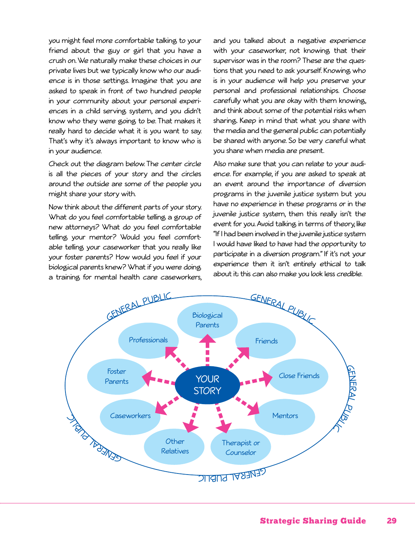you might feel more comfortable talking to your friend about the guy or girl that you have a crush on. We naturally make these choices in our private lives but we typically know who our audience is in those settings. Imagine that you are asked to speak in front of two hundred people in your community about your personal experiences in a child serving system, and you didn't know who they were going to be. That makes it really hard to decide what it is you want to say. That's why it's always important to know who is in your audience.

Check out the diagram below. The center circle is all the pieces of your story and the circles around the outside are some of the people you might share your story with.

Now think about the different parts of your story. What do you feel comfortable telling a group of new attorneys? What do you feel comfortable telling your mentor? Would you feel comfortable telling your caseworker that you really like your foster parents? How would you feel if your biological parents knew? What if you were doing a training for mental health care caseworkers, and you talked about a negative experience with your caseworker, not knowing that their supervisor was in the room? These are the questions that you need to ask yourself. Knowing who is in your audience will help you preserve your personal and professional relationships. Choose carefully what you are okay with them knowing, and think about some of the potential risks when sharing. Keep in mind that what you share with the media and the general public can potentially be shared with anyone. So be very careful what you share when media are present.

Also make sure that you can relate to your audience. For example, if you are asked to speak at an event around the importance of diversion programs in the juvenile justice system but you have no experience in these programs or in the juvenile justice system, then this really isn't the event for you. Avoid talking in terms of theory, like "If I had been involved in the juvenile justice system I would have liked to have had the opportunity to participate in a diversion program." If it's not your experience then it isn't entirely ethical to talk about it; this can also make you look less credible.

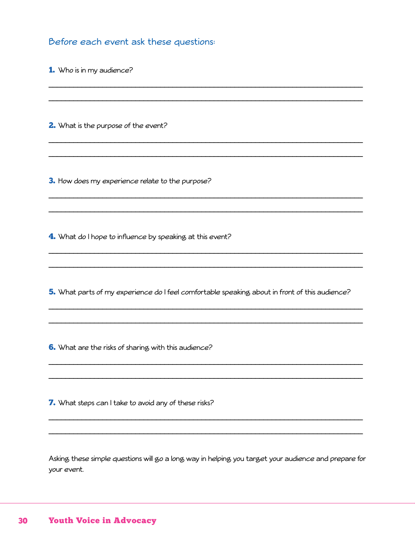Before each event ask these questions:

1. Who is in my audience?

2. What is the purpose of the event?

3. How does my experience relate to the purpose?

4. What do I hope to influence by speaking at this event?

5. What parts of my experience do I feel comfortable speaking, about in front of this audience?

6. What are the risks of sharing with this audience?

7. What steps can I take to avoid any of these risks?

Asking these simple questions will go a long way in helping you target your audience and prepare for your event.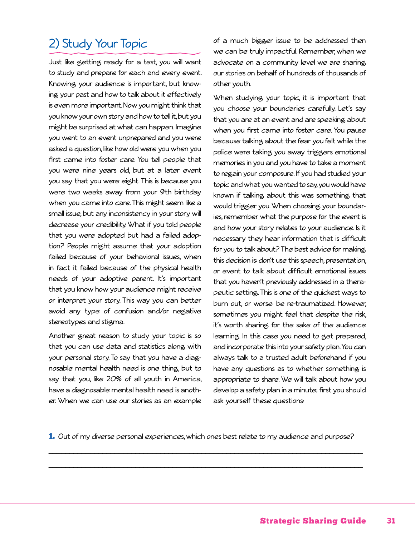# 2) Study Your Topic

Just like getting ready for a test, you will want to study and prepare for each and every event. Knowing your audience is important, but knowing your past and how to talk about it effectively is even more important. Now you might think that you know your own story and how to tell it, but you might be surprised at what can happen. Imagine you went to an event unprepared and you were asked a question, like how old were you when you first came into foster care. You tell people that you were nine years old, but at a later event you say that you were eight. This is because you were two weeks away from your 9th birthday when you came into care. This might seem like a small issue, but any inconsistency in your story will decrease your credibility. What if you told people that you were adopted but had a failed adoption? People might assume that your adoption failed because of your behavioral issues, when in fact it failed because of the physical health needs of your adoptive parent. It's important that you know how your audience might receive or interpret your story. This way you can better avoid any type of confusion and/or negative stereotypes and stigma.

Another great reason to study your topic is so that you can use data and statistics along with your personal story. To say that you have a diagnosable mental health need is one thing, but to say that you, like 20% of all youth in America, have a diagnosable mental health need is another. When we can use our stories as an example of a much bigger issue to be addressed then we can be truly impactful. Remember, when we advocate on a community level we are sharing our stories on behalf of hundreds of thousands of other youth.

When studying your topic, it is important that you choose your boundaries carefully. Let's say that you are at an event and are speaking about when you first came into foster care. You pause because talking about the fear you felt while the police were taking you away triggers emotional memories in you and you have to take a moment to regain your composure. If you had studied your topic and what you wanted to say, you would have known if talking about this was something that would trigger you. When choosing your boundaries, remember what the purpose for the event is and how your story relates to your audience. Is it necessary they hear information that is difficult for you to talk about? The best advice for making this decision is: don't use this speech, presentation, or event to talk about difficult emotional issues that you haven't previously addressed in a therapeutic setting. This is one of the quickest ways to burn out, or worse: be re-traumatized. However, sometimes you might feel that despite the risk, it's worth sharing for the sake of the audience learning. In this case you need to get prepared, and incorporate this into your safety plan. You can always talk to a trusted adult beforehand if you have any questions as to whether something is appropriate to share. We will talk about how you develop a safety plan in a minute; first you should ask yourself these questions:

1. Out of my diverse personal experiences, which ones best relate to my audience and purpose?

\_\_\_\_\_\_\_\_\_\_\_\_\_\_\_\_\_\_\_\_\_\_\_\_\_\_\_\_\_\_\_\_\_\_\_\_\_\_\_\_\_\_\_\_\_\_\_\_\_\_\_\_\_\_\_\_\_\_\_\_\_\_\_\_\_\_\_\_\_\_\_\_\_\_\_\_

\_\_\_\_\_\_\_\_\_\_\_\_\_\_\_\_\_\_\_\_\_\_\_\_\_\_\_\_\_\_\_\_\_\_\_\_\_\_\_\_\_\_\_\_\_\_\_\_\_\_\_\_\_\_\_\_\_\_\_\_\_\_\_\_\_\_\_\_\_\_\_\_\_\_\_\_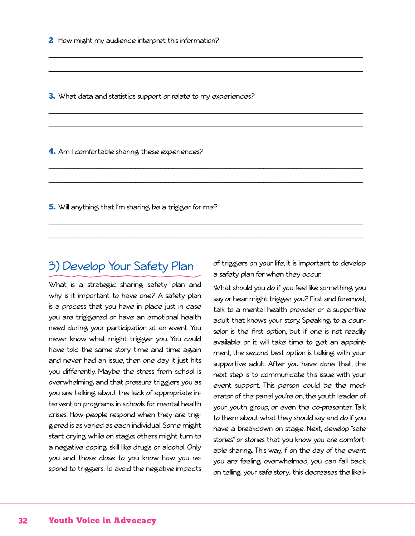**3.** What data and statistics support or relate to my experiences?

\_\_\_\_\_\_\_\_\_\_\_\_\_\_\_\_\_\_\_\_\_\_\_\_\_\_\_\_\_\_\_\_\_\_\_\_\_\_\_\_\_\_\_\_\_\_\_\_\_\_\_\_\_\_\_\_\_\_\_\_\_\_\_\_\_\_\_\_\_\_\_\_\_\_\_\_

\_\_\_\_\_\_\_\_\_\_\_\_\_\_\_\_\_\_\_\_\_\_\_\_\_\_\_\_\_\_\_\_\_\_\_\_\_\_\_\_\_\_\_\_\_\_\_\_\_\_\_\_\_\_\_\_\_\_\_\_\_\_\_\_\_\_\_\_\_\_\_\_\_\_\_\_

\_\_\_\_\_\_\_\_\_\_\_\_\_\_\_\_\_\_\_\_\_\_\_\_\_\_\_\_\_\_\_\_\_\_\_\_\_\_\_\_\_\_\_\_\_\_\_\_\_\_\_\_\_\_\_\_\_\_\_\_\_\_\_\_\_\_\_\_\_\_\_\_\_\_\_\_

\_\_\_\_\_\_\_\_\_\_\_\_\_\_\_\_\_\_\_\_\_\_\_\_\_\_\_\_\_\_\_\_\_\_\_\_\_\_\_\_\_\_\_\_\_\_\_\_\_\_\_\_\_\_\_\_\_\_\_\_\_\_\_\_\_\_\_\_\_\_\_\_\_\_\_\_

\_\_\_\_\_\_\_\_\_\_\_\_\_\_\_\_\_\_\_\_\_\_\_\_\_\_\_\_\_\_\_\_\_\_\_\_\_\_\_\_\_\_\_\_\_\_\_\_\_\_\_\_\_\_\_\_\_\_\_\_\_\_\_\_\_\_\_\_\_\_\_\_\_\_\_\_

\_\_\_\_\_\_\_\_\_\_\_\_\_\_\_\_\_\_\_\_\_\_\_\_\_\_\_\_\_\_\_\_\_\_\_\_\_\_\_\_\_\_\_\_\_\_\_\_\_\_\_\_\_\_\_\_\_\_\_\_\_\_\_\_\_\_\_\_\_\_\_\_\_\_\_\_

\_\_\_\_\_\_\_\_\_\_\_\_\_\_\_\_\_\_\_\_\_\_\_\_\_\_\_\_\_\_\_\_\_\_\_\_\_\_\_\_\_\_\_\_\_\_\_\_\_\_\_\_\_\_\_\_\_\_\_\_\_\_\_\_\_\_\_\_\_\_\_\_\_\_\_\_

\_\_\_\_\_\_\_\_\_\_\_\_\_\_\_\_\_\_\_\_\_\_\_\_\_\_\_\_\_\_\_\_\_\_\_\_\_\_\_\_\_\_\_\_\_\_\_\_\_\_\_\_\_\_\_\_\_\_\_\_\_\_\_\_\_\_\_\_\_\_\_\_\_\_\_\_

4. Am I comfortable sharing these experiences?

**5.** Will anything that I'm sharing be a trigger for me?

# 3) Develop Your Safety Plan

What is a strategic sharing safety plan and why is it important to have one? A safety plan is a process that you have in place just in case you are triggered or have an emotional health need during your participation at an event. You never know what might trigger you. You could have told the same story time and time again and never had an issue, then one day it just hits you differently. Maybe the stress from school is overwhelming and that pressure triggers you as you are talking about the lack of appropriate intervention programs in schools for mental health crises. How people respond when they are triggered is as varied as each individual. Some might start crying while on stage; others might turn to a negative coping skill like drugs or alcohol. Only you and those close to you know how you respond to triggers. To avoid the negative impacts of triggers on your life, it is important to develop a safety plan for when they occur.

What should you do if you feel like something you say or hear might trigger you? First and foremost, talk to a mental health provider or a supportive adult that knows your story. Speaking to a counselor is the first option, but if one is not readily available or it will take time to get an appointment, the second best option is talking with your supportive adult. After you have done that, the next step is to communicate this issue with your event support. This person could be the moderator of the panel you're on, the youth leader of your youth group, or even the co-presenter. Talk to them about what they should say and do if you have a breakdown on stage. Next, develop "safe stories" or stories that you know you are comfortable sharing. This way, if on the day of the event you are feeling overwhelmed, you can fall back on telling your safe story; this decreases the likeli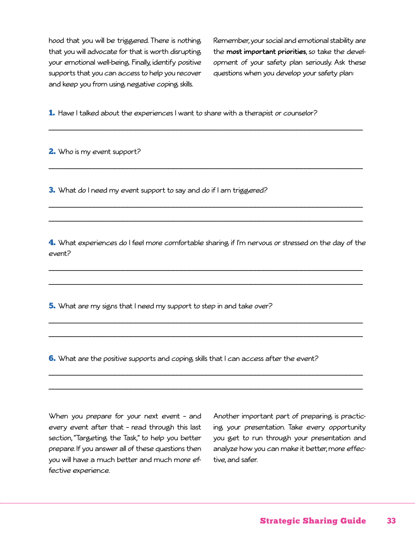hood that you will be triggered. There is nothing that you will advocate for that is worth disrupting your emotional well-being. Finally, identify positive supports that you can access to help you recover and keep you from using negative coping skills.

Remember, your social and emotional stability are the **most important priorities**, so take the development of your safety plan seriously. Ask these questions when you develop your safety plan:

1. Have I talked about the experiences I want to share with a therapist or counselor?

\_\_\_\_\_\_\_\_\_\_\_\_\_\_\_\_\_\_\_\_\_\_\_\_\_\_\_\_\_\_\_\_\_\_\_\_\_\_\_\_\_\_\_\_\_\_\_\_\_\_\_\_\_\_\_\_\_\_\_\_\_\_\_\_\_\_\_\_\_\_\_\_\_\_\_\_

\_\_\_\_\_\_\_\_\_\_\_\_\_\_\_\_\_\_\_\_\_\_\_\_\_\_\_\_\_\_\_\_\_\_\_\_\_\_\_\_\_\_\_\_\_\_\_\_\_\_\_\_\_\_\_\_\_\_\_\_\_\_\_\_\_\_\_\_\_\_\_\_\_\_\_\_

\_\_\_\_\_\_\_\_\_\_\_\_\_\_\_\_\_\_\_\_\_\_\_\_\_\_\_\_\_\_\_\_\_\_\_\_\_\_\_\_\_\_\_\_\_\_\_\_\_\_\_\_\_\_\_\_\_\_\_\_\_\_\_\_\_\_\_\_\_\_\_\_\_\_\_\_

\_\_\_\_\_\_\_\_\_\_\_\_\_\_\_\_\_\_\_\_\_\_\_\_\_\_\_\_\_\_\_\_\_\_\_\_\_\_\_\_\_\_\_\_\_\_\_\_\_\_\_\_\_\_\_\_\_\_\_\_\_\_\_\_\_\_\_\_\_\_\_\_\_\_\_\_

2. Who is my event support?

**3.** What do I need my event support to say and do if I am triggered?

4. What experiences do I feel more comfortable sharing if I'm nervous or stressed on the day of the event?

\_\_\_\_\_\_\_\_\_\_\_\_\_\_\_\_\_\_\_\_\_\_\_\_\_\_\_\_\_\_\_\_\_\_\_\_\_\_\_\_\_\_\_\_\_\_\_\_\_\_\_\_\_\_\_\_\_\_\_\_\_\_\_\_\_\_\_\_\_\_\_\_\_\_\_\_

\_\_\_\_\_\_\_\_\_\_\_\_\_\_\_\_\_\_\_\_\_\_\_\_\_\_\_\_\_\_\_\_\_\_\_\_\_\_\_\_\_\_\_\_\_\_\_\_\_\_\_\_\_\_\_\_\_\_\_\_\_\_\_\_\_\_\_\_\_\_\_\_\_\_\_\_

\_\_\_\_\_\_\_\_\_\_\_\_\_\_\_\_\_\_\_\_\_\_\_\_\_\_\_\_\_\_\_\_\_\_\_\_\_\_\_\_\_\_\_\_\_\_\_\_\_\_\_\_\_\_\_\_\_\_\_\_\_\_\_\_\_\_\_\_\_\_\_\_\_\_\_\_

\_\_\_\_\_\_\_\_\_\_\_\_\_\_\_\_\_\_\_\_\_\_\_\_\_\_\_\_\_\_\_\_\_\_\_\_\_\_\_\_\_\_\_\_\_\_\_\_\_\_\_\_\_\_\_\_\_\_\_\_\_\_\_\_\_\_\_\_\_\_\_\_\_\_\_\_

\_\_\_\_\_\_\_\_\_\_\_\_\_\_\_\_\_\_\_\_\_\_\_\_\_\_\_\_\_\_\_\_\_\_\_\_\_\_\_\_\_\_\_\_\_\_\_\_\_\_\_\_\_\_\_\_\_\_\_\_\_\_\_\_\_\_\_\_\_\_\_\_\_\_\_\_

\_\_\_\_\_\_\_\_\_\_\_\_\_\_\_\_\_\_\_\_\_\_\_\_\_\_\_\_\_\_\_\_\_\_\_\_\_\_\_\_\_\_\_\_\_\_\_\_\_\_\_\_\_\_\_\_\_\_\_\_\_\_\_\_\_\_\_\_\_\_\_\_\_\_\_\_

5. What are my signs that I need my support to step in and take over?

**6.** What are the positive supports and coping skills that I can access after the event?

When you prepare for your next event – and every event after that – read through this last section, "Targeting the Task," to help you better prepare. If you answer all of these questions then you will have a much better and much more effective experience.

Another important part of preparing is practicing your presentation. Take every opportunity you get to run through your presentation and analyze how you can make it better, more effective, and safer.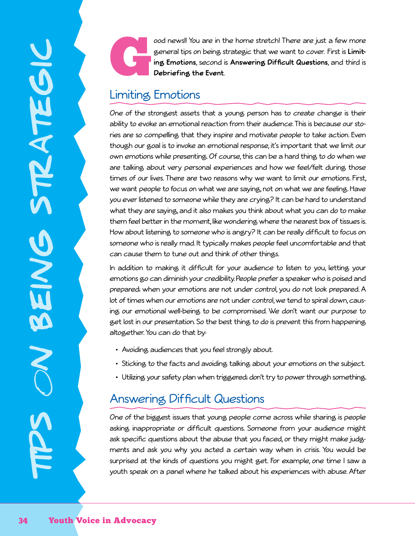ood news!! You are in the home stretch! There are just a few more general tips on being strategic that we want to cover. First is **Limiting Emotions**, second is **Answering Difficult Questions**, and third is **Debriefing the Event**.

# Limiting Emotions

One of the strongest assets that a young person has to create change is their ability to evoke an emotional reaction from their audience. This is because our stories are so compelling that they inspire and motivate people to take action. Even though our goal is to invoke an emotional response, it's important that we limit our own emotions while presenting. Of course, this can be a hard thing to do when we are talking about very personal experiences and how we feel/felt during those times of our lives. There are two reasons why we want to limit our emotions. First, we want people to focus on what we are saying, not on what we are feeling. Have you ever listened to someone while they are crying? It can be hard to understand what they are saying, and it also makes you think about what you can do to make them feel better in the moment, like wondering where the nearest box of tissues is. How about listening to someone who is angry? It can be really difficult to focus on someone who is really mad. It typically makes people feel uncomfortable and that can cause them to tune out and think of other things.

In addition to making it difficult for your audience to listen to you, letting your emotions go can diminish your credibility. People prefer a speaker who is poised and prepared; when your emotions are not under control, you do not look prepared. A lot of times when our emotions are not under control, we tend to spiral down, causing our emotional well-being to be compromised. We don't want our purpose to get lost in our presentation. So the best thing to do is prevent this from happening altogether. You can do that by:

- Avoiding audiences that you feel strongly about.
- Sticking to the facts and avoiding talking about your emotions on the subject.
- Utilizing your safety plan when triggered; don't try to power through something.

# Answering Difficult Questions

One of the biggest issues that young people come across while sharing is people asking inappropriate or difficult questions. Someone from your audience might ask specific questions about the abuse that you faced, or they might make judgments and ask you why you acted a certain way when in crisis. You would be surprised at the kinds of questions you might get. For example, one time I saw a youth speak on a panel where he talked about his experiences with abuse. After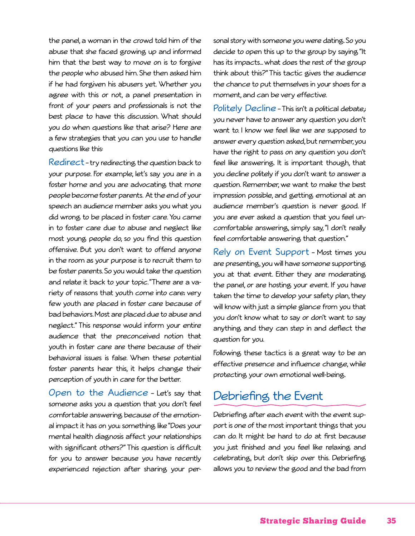the panel, a woman in the crowd told him of the abuse that she faced growing up and informed him that the best way to move on is to forgive the people who abused him. She then asked him if he had forgiven his abusers yet. Whether you agree with this or not, a panel presentation in front of your peers and professionals is not the best place to have this discussion. What should you do when questions like that arise? Here are a few strategies that you can you use to handle questions like this:

Redirect – try redirecting the question back to your purpose. For example, let's say you are in a foster home and you are advocating that more people become foster parents. At the end of your speech an audience member asks you what you did wrong to be placed in foster care. You came in to foster care due to abuse and neglect like most young people do, so you find this question offensive. But you don't want to offend anyone in the room as your purpose is to recruit them to be foster parents. So you would take the question and relate it back to your topic. "There are a variety of reasons that youth come into care; very few youth are placed in foster care because of bad behaviors. Most are placed due to abuse and neglect." This response would inform your entire audience that the preconceived notion that youth in foster care are there because of their behavioral issues is false. When these potential foster parents hear this, it helps change their perception of youth in care for the better.

Open to the Audience – Let's say that someone asks you a question that you don't feel comfortable answering because of the emotional impact it has on you; something like "Does your mental health diagnosis affect your relationships with significant others?" This question is difficult for you to answer because you have recently experienced rejection after sharing your personal story with someone you were dating. So you decide to open this up to the group by saying "It has its impacts... what does the rest of the group think about this?" This tactic gives the audience the chance to put themselves in your shoes for a moment, and can be very effective.

Politely Decline - This isn't a political debate, you never have to answer any question you don't want to. I know we feel like we are supposed to answer every question asked, but remember, you have the right to pass on any question you don't feel like answering. It is important though, that you decline politely if you don't want to answer a question. Remember, we want to make the best impression possible, and getting emotional at an audience member's question is never good. If you are ever asked a question that you feel uncomfortable answering, simply say, "I don't really feel comfortable answering that question."

Rely on Event Support – Most times you are presenting, you will have someone supporting you at that event. Either they are moderating the panel, or are hosting your event. If you have taken the time to develop your safety plan, they will know with just a simple glance from you that you don't know what to say or don't want to say anything and they can step in and deflect the question for you.

Following these tactics is a great way to be an effective presence and influence change, while protecting your own emotional well-being.

### Debriefing the Event

Debriefing after each event with the event support is one of the most important things that you can do. It might be hard to do at first because you just finished and you feel like relaxing and celebrating, but don't skip over this. Debriefing allows you to review the good and the bad from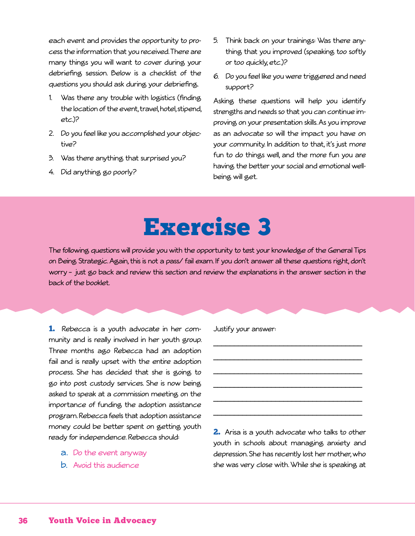each event and provides the opportunity to process the information that you received. There are many things you will want to cover during your debriefing session. Below is a checklist of the questions you should ask during your debriefing.

- 1. Was there any trouble with logistics (finding the location of the event, travel, hotel, stipend, etc.)?
- 2. Do you feel like you accomplished your objective?
- 3. Was there anything that surprised you?
- 4. Did anything go poorly?
- 5. Think back on your trainings: Was there anything that you improved (speaking too softly or too quickly, etc.)?
- 6. Do you feel like you were triggered and need support?

Asking these questions will help you identify strengths and needs so that you can continue improving on your presentation skills. As you improve as an advocate so will the impact you have on your community. In addition to that, it's just more fun to do things well, and the more fun you are having the better your social and emotional wellbeing will get.

# Exercise 3

The following questions will provide you with the opportunity to test your knowledge of the General Tips on Being Strategic. Again, this is not a pass/ fail exam. If you don't answer all these questions right, don't worry – just go back and review this section and review the explanations in the answer section in the back of the booklet.

1. Rebecca is a youth advocate in her community and is really involved in her youth group. Three months ago Rebecca had an adoption fail and is really upset with the entire adoption process. She has decided that she is going to go into post custody services. She is now being asked to speak at a commission meeting on the importance of funding the adoption assistance program. Rebecca feels that adoption assistance money could be better spent on getting youth ready for independence. Rebecca should:

- a. Do the event anyway
- b. Avoid this audience

Justify your answer:

2. Arisa is a youth advocate who talks to other youth in schools about managing anxiety and depression. She has recently lost her mother, who she was very close with. While she is speaking at

\_\_\_\_\_\_\_\_\_\_\_\_\_\_\_\_\_\_\_\_\_\_\_\_\_\_\_\_\_\_\_\_\_\_\_\_

\_\_\_\_\_\_\_\_\_\_\_\_\_\_\_\_\_\_\_\_\_\_\_\_\_\_\_\_\_\_\_\_\_\_\_\_

\_\_\_\_\_\_\_\_\_\_\_\_\_\_\_\_\_\_\_\_\_\_\_\_\_\_\_\_\_\_\_\_\_\_\_\_

\_\_\_\_\_\_\_\_\_\_\_\_\_\_\_\_\_\_\_\_\_\_\_\_\_\_\_\_\_\_\_\_\_\_\_\_

\_\_\_\_\_\_\_\_\_\_\_\_\_\_\_\_\_\_\_\_\_\_\_\_\_\_\_\_\_\_\_\_\_\_\_\_

\_\_\_\_\_\_\_\_\_\_\_\_\_\_\_\_\_\_\_\_\_\_\_\_\_\_\_\_\_\_\_\_\_\_\_\_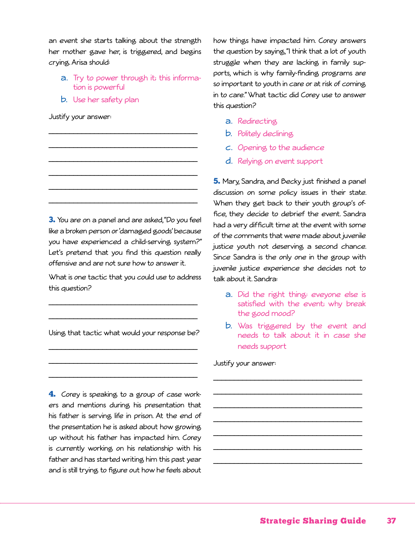an event she starts talking about the strength her mother gave her, is triggered, and begins crying. Arisa should:

a. Try to power through it; this information is powerful

\_\_\_\_\_\_\_\_\_\_\_\_\_\_\_\_\_\_\_\_\_\_\_\_\_\_\_\_\_\_\_\_\_\_\_\_

\_\_\_\_\_\_\_\_\_\_\_\_\_\_\_\_\_\_\_\_\_\_\_\_\_\_\_\_\_\_\_\_\_\_\_\_

\_\_\_\_\_\_\_\_\_\_\_\_\_\_\_\_\_\_\_\_\_\_\_\_\_\_\_\_\_\_\_\_\_\_\_\_

\_\_\_\_\_\_\_\_\_\_\_\_\_\_\_\_\_\_\_\_\_\_\_\_\_\_\_\_\_\_\_\_\_\_\_\_

\_\_\_\_\_\_\_\_\_\_\_\_\_\_\_\_\_\_\_\_\_\_\_\_\_\_\_\_\_\_\_\_\_\_\_\_

\_\_\_\_\_\_\_\_\_\_\_\_\_\_\_\_\_\_\_\_\_\_\_\_\_\_\_\_\_\_\_\_\_\_\_\_

b. Use her safety plan

Justify your answer:

3. You are on a panel and are asked, "Do you feel like a broken person or 'damaged goods' because you have experienced a child-serving system?" Let's pretend that you find this question really offensive and are not sure how to answer it.

What is one tactic that you could use to address this question?

\_\_\_\_\_\_\_\_\_\_\_\_\_\_\_\_\_\_\_\_\_\_\_\_\_\_\_\_\_\_\_\_\_\_\_\_

\_\_\_\_\_\_\_\_\_\_\_\_\_\_\_\_\_\_\_\_\_\_\_\_\_\_\_\_\_\_\_\_\_\_\_\_

Using that tactic what would your response be?

\_\_\_\_\_\_\_\_\_\_\_\_\_\_\_\_\_\_\_\_\_\_\_\_\_\_\_\_\_\_\_\_\_\_\_\_

\_\_\_\_\_\_\_\_\_\_\_\_\_\_\_\_\_\_\_\_\_\_\_\_\_\_\_\_\_\_\_\_\_\_\_\_

\_\_\_\_\_\_\_\_\_\_\_\_\_\_\_\_\_\_\_\_\_\_\_\_\_\_\_\_\_\_\_\_\_\_\_\_

**4.** Corey is speaking to a group of case workers and mentions during his presentation that his father is serving life in prison. At the end of the presentation he is asked about how growing up without his father has impacted him. Corey is currently working on his relationship with his father and has started writing him this past year and is still trying to figure out how he feels about how things have impacted him. Corey answers the question by saying, "I think that a lot of youth struggle when they are lacking in family supports, which is why family-finding programs are so important to youth in care or at risk of coming in to care." What tactic did Corey use to answer this question?

- a. Redirecting
- b. Politely declining
- c. Opening to the audience
- d. Relying on event support

5. Mary, Sandra, and Becky just finished a panel discussion on some policy issues in their state. When they get back to their youth group's office, they decide to debrief the event. Sandra had a very difficult time at the event with some of the comments that were made about juvenile justice youth not deserving a second chance. Since Sandra is the only one in the group with juvenile justice experience she decides not to talk about it. Sandra:

- a. Did the right thing: eveyone else is satisfied with the event; why break the good mood?
- b. Was triggered by the event and needs to talk about it in case she needs support

\_\_\_\_\_\_\_\_\_\_\_\_\_\_\_\_\_\_\_\_\_\_\_\_\_\_\_\_\_\_\_\_\_\_\_\_

\_\_\_\_\_\_\_\_\_\_\_\_\_\_\_\_\_\_\_\_\_\_\_\_\_\_\_\_\_\_\_\_\_\_\_\_

\_\_\_\_\_\_\_\_\_\_\_\_\_\_\_\_\_\_\_\_\_\_\_\_\_\_\_\_\_\_\_\_\_\_\_\_

\_\_\_\_\_\_\_\_\_\_\_\_\_\_\_\_\_\_\_\_\_\_\_\_\_\_\_\_\_\_\_\_\_\_\_\_

\_\_\_\_\_\_\_\_\_\_\_\_\_\_\_\_\_\_\_\_\_\_\_\_\_\_\_\_\_\_\_\_\_\_\_\_

\_\_\_\_\_\_\_\_\_\_\_\_\_\_\_\_\_\_\_\_\_\_\_\_\_\_\_\_\_\_\_\_\_\_\_\_

\_\_\_\_\_\_\_\_\_\_\_\_\_\_\_\_\_\_\_\_\_\_\_\_\_\_\_\_\_\_\_\_\_\_\_\_

Justify your answer: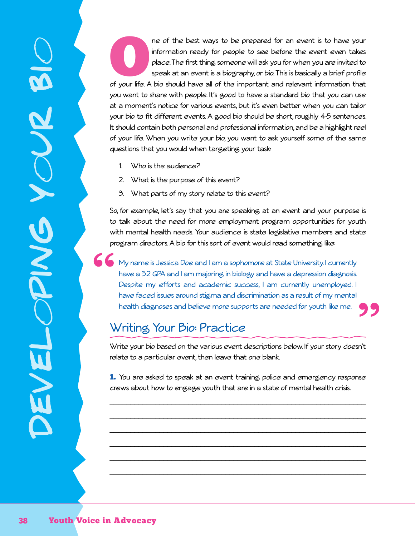ne of the best ways to be prepared for an event is to have your<br>information ready for people to see before the event even takes<br>place. The first thing someone will ask you for when you are invited to<br>speak at an event is a information ready for people to see before the event even takes place. The first thing someone will ask you for when you are invited to speak at an event is a biography, or bio. This is basically a brief profile you want to share with people. It's good to have a standard bio that you can use at a moment's notice for various events, but it's even better when you can tailor your bio to fit different events. A good bio should be short, roughly 4-5 sentences. It should contain both personal and professional information, and be a highlight reel of your life. When you write your bio, you want to ask yourself some of the same questions that you would when targeting your task:

- 1. Who is the audience?
- 2. What is the purpose of this event?
- 3. What parts of my story relate to this event?

So, for example, let's say that you are speaking at an event and your purpose is to talk about the need for more employment program opportunities for youth with mental health needs. Your audience is state legislative members and state program directors. A bio for this sort of event would read something like:

K My name is Jessica Doe and I am a sophomore at State University. I currently have a 3.2 GPA and I am majoring in biology and have a depression diagnosis. Despite my efforts and academic success, I am currently unemployed. I have faced issues around stigma and discrimination as a result of my mental health diagnoses and believe more supports are needed for youth like me.

## Writing Your Bio: Practice

Write your bio based on the various event descriptions below. If your story doesn't relate to a particular event, then leave that one blank.

1. You are asked to speak at an event training police and emergency response crews about how to engage youth that are in a state of mental health crisis.

\_\_\_\_\_\_\_\_\_\_\_\_\_\_\_\_\_\_\_\_\_\_\_\_\_\_\_\_\_\_\_\_\_\_\_\_\_\_\_\_\_\_\_\_\_\_\_\_\_\_\_\_\_\_\_\_\_\_\_\_\_\_

\_\_\_\_\_\_\_\_\_\_\_\_\_\_\_\_\_\_\_\_\_\_\_\_\_\_\_\_\_\_\_\_\_\_\_\_\_\_\_\_\_\_\_\_\_\_\_\_\_\_\_\_\_\_\_\_\_\_\_\_\_\_

\_\_\_\_\_\_\_\_\_\_\_\_\_\_\_\_\_\_\_\_\_\_\_\_\_\_\_\_\_\_\_\_\_\_\_\_\_\_\_\_\_\_\_\_\_\_\_\_\_\_\_\_\_\_\_\_\_\_\_\_\_\_

\_\_\_\_\_\_\_\_\_\_\_\_\_\_\_\_\_\_\_\_\_\_\_\_\_\_\_\_\_\_\_\_\_\_\_\_\_\_\_\_\_\_\_\_\_\_\_\_\_\_\_\_\_\_\_\_\_\_\_\_\_\_

\_\_\_\_\_\_\_\_\_\_\_\_\_\_\_\_\_\_\_\_\_\_\_\_\_\_\_\_\_\_\_\_\_\_\_\_\_\_\_\_\_\_\_\_\_\_\_\_\_\_\_\_\_\_\_\_\_\_\_\_\_\_

\_\_\_\_\_\_\_\_\_\_\_\_\_\_\_\_\_\_\_\_\_\_\_\_\_\_\_\_\_\_\_\_\_\_\_\_\_\_\_\_\_\_\_\_\_\_\_\_\_\_\_\_\_\_\_\_\_\_\_\_\_\_

devel

oping y

**SNNO** 

our bi

 $\bigcirc$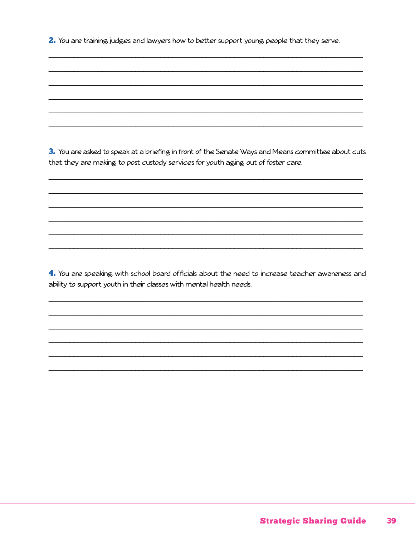2. You are training judges and lawyers how to better support young people that they serve.

3. You are asked to speak at a briefing in front of the Senate Ways and Means committee about cuts that they are making to post custody services for youth aging out of foster care.

4. You are speaking with school board officials about the need to increase teacher awareness and ability to support youth in their classes with mental health needs.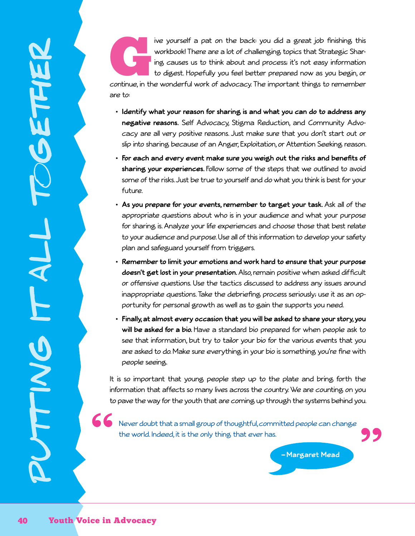ive yourself a pat on the back: you did a great job finishing this workbook! There are a lot of challenging topics that Strategic Sharing causes us to think about and process; it's not easy information to digest. Hopefully workbook! There are a lot of challenging topics that Strategic Sharing causes us to think about and process; it's not easy information to digest. Hopefully you feel better prepared now as you begin, or

are to:

- **• Identify what your reason for sharing is and what you can do to address any negative reasons.** Self Advocacy, Stigma Reduction, and Community Advocacy are all very positive reasons. Just make sure that you don't start out or slip into sharing because of an Anger, Exploitation, or Attention Seeking reason.
- **• For each and every event make sure you weigh out the risks and benefits of sharing your experiences.** Follow some of the steps that we outlined to avoid some of the risks. Just be true to yourself and do what you think is best for your future.
- **• As you prepare for your events, remember to target your task.** Ask all of the appropriate questions about who is in your audience and what your purpose for sharing is. Analyze your life experiences and choose those that best relate to your audience and purpose. Use all of this information to develop your safety plan and safeguard yourself from triggers.
- **• Remember to limit your emotions and work hard to ensure that your purpose doesn't get lost in your presentation.** Also, remain positive when asked difficult or offensive questions. Use the tactics discussed to address any issues around inappropriate questions. Take the debriefing process seriously; use it as an opportunity for personal growth as well as to gain the supports you need.
- **• Finally, at almost every occasion that you will be asked to share your story, you will be asked for a bio.** Have a standard bio prepared for when people ask to see that information, but try to tailor your bio for the various events that you are asked to do. Make sure everything in your bio is something you're fine with people seeing.

It is so important that young people step up to the plate and bring forth the information that affects so many lives across the country. We are counting on you to pave the way for the youth that are coming up through the systems behind you.

66 Never doubt that a small group of thoughtful, committed people can change the world. Indeed, it is the only thing that ever has.

**— Margaret Mead**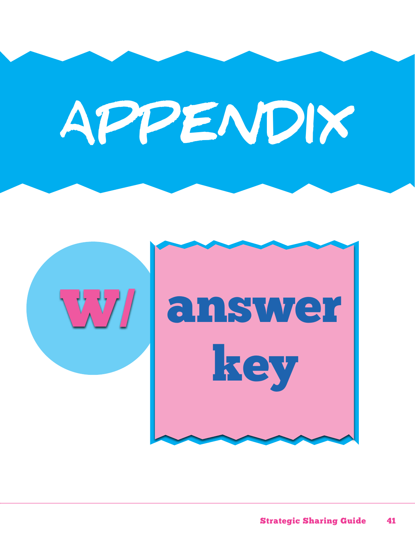# APPENDIX

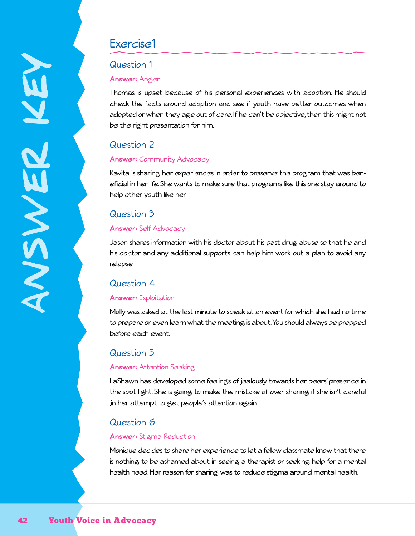## Exercise1

#### Question 1

#### **Answer:** Anger

Thomas is upset because of his personal experiences with adoption. He should check the facts around adoption and see if youth have better outcomes when adopted or when they age out of care. If he can't be objective, then this might not be the right presentation for him.

### Question 2

#### **Answer:** Community Advocacy

Kavita is sharing her experiences in order to preserve the program that was beneficial in her life. She wants to make sure that programs like this one stay around to help other youth like her.

#### Question 3

#### **Answer:** Self Advocacy

Jason shares information with his doctor about his past drug abuse so that he and his doctor and any additional supports can help him work out a plan to avoid any relapse.

#### Question 4

#### **Answer:** Exploitation

Molly was asked at the last minute to speak at an event for which she had no time to prepare or even learn what the meeting is about. You should always be prepped before each event.

#### Question 5

#### **Answer:** Attention Seeking

LaShawn has developed some feelings of jealously towards her peers' presence in the spot light. She is going to make the mistake of over sharing if she isn't careful ,in her attempt to get people's attention again.

#### Question 6

#### **Answer:** Stigma Reduction

Monique decides to share her experience to let a fellow classmate know that there is nothing to be ashamed about in seeing a therapist or seeking help for a mental health need. Her reason for sharing was to reduce stigma around mental health.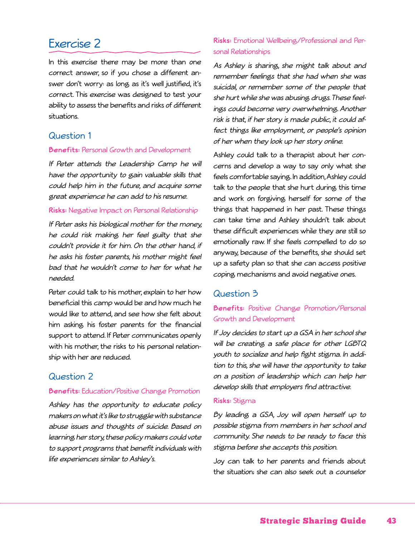## Exercise 2

In this exercise there may be more than one correct answer, so if you chose a different answer don't worry: as long as it's well justified, it's correct. This exercise was designed to test your ability to assess the benefits and risks of different situations.

#### Question 1

#### **Benefits:** Personal Growth and Development

If Peter attends the Leadership Camp he will have the opportunity to gain valuable skills that could help him in the future, and acquire some great experience he can add to his resume.

#### **Risks:** Negative Impact on Personal Relationship

If Peter asks his biological mother for the money, he could risk making her feel guilty that she couldn't provide it for him. On the other hand, if he asks his foster parents, his mother might feel bad that he wouldn't come to her for what he needed.

Peter could talk to his mother, explain to her how beneficial this camp would be and how much he would like to attend, and see how she felt about him asking his foster parents for the financial support to attend. If Peter communicates openly with his mother, the risks to his personal relationship with her are reduced.

#### Question 2

#### **Benefits:** Education/Positive Change Promotion

Ashley has the opportunity to educate policy makers on what it's like to struggle with substance abuse issues and thoughts of suicide. Based on learning her story, these policy makers could vote to support programs that benefit individuals with life experiences similar to Ashley's.

#### **Risks:** Emotional Wellbeing/Professional and Personal Relationships

As Ashley is sharing, she might talk about and remember feelings that she had when she was suicidal, or remember some of the people that she hurt while she was abusing drugs. These feelings could become very overwhelming. Another risk is that, if her story is made public, it could affect things like employment, or people's opinion of her when they look up her story online.

Ashley could talk to a therapist about her concerns and develop a way to say only what she feels comfortable saying. In addition, Ashley could talk to the people that she hurt during this time and work on forgiving herself for some of the things that happened in her past. These things can take time and Ashley shouldn't talk about these difficult experiences while they are still so emotionally raw. If she feels compelled to do so anyway, because of the benefits, she should set up a safety plan so that she can access positive coping mechanisms and avoid negative ones.

#### Question 3

#### **Benefits:** Positive Change Promotion/Personal Growth and Development

If Joy decides to start up a GSA in her school she will be creating a safe place for other LGBTQ youth to socialize and help fight stigma. In addition to this, she will have the opportunity to take on a position of leadership which can help her develop skills that employers find attractive.

#### **Risks:** Stigma

By leading a GSA, Joy will open herself up to possible stigma from members in her school and community. She needs to be ready to face this stigma before she accepts this position.

Joy can talk to her parents and friends about the situation; she can also seek out a counselor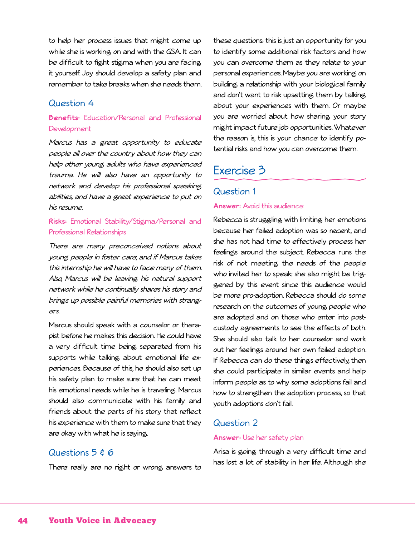to help her process issues that might come up while she is working on and with the GSA. It can be difficult to fight stigma when you are facing it yourself. Joy should develop a safety plan and remember to take breaks when she needs them.

#### Question 4

#### **Benefits:** Education/Personal and Professional Development

Marcus has a great opportunity to educate people all over the country about how they can help other young adults who have experienced trauma. He will also have an opportunity to network and develop his professional speaking abilities, and have a great experience to put on his resume.

#### **Risks:** Emotional Stability/Stigma/Personal and Professional Relationships

There are many preconceived notions about young people in foster care, and if Marcus takes this internship he will have to face many of them. Also, Marcus will be leaving his natural support network while he continually shares his story and brings up possible painful memories with strangers.

Marcus should speak with a counselor or therapist before he makes this decision. He could have a very difficult time being separated from his supports while talking about emotional life experiences. Because of this, he should also set up his safety plan to make sure that he can meet his emotional needs while he is traveling. Marcus should also communicate with his family and friends about the parts of his story that reflect his experience with them to make sure that they are okay with what he is saying.

#### these questions; this is just an opportunity for you to identify some additional risk factors and how you can overcome them as they relate to your personal experiences. Maybe you are working on building a relationship with your biological family and don't want to risk upsetting them by talking about your experiences with them. Or maybe you are worried about how sharing your story might impact future job opportunities. Whatever the reason is, this is your chance to identify potential risks and how you can overcome them.

# Exercise 3

#### Question 1

#### **Answer:** Avoid this audience

Rebecca is struggling with limiting her emotions because her failed adoption was so recent, and she has not had time to effectively process her feelings around the subject. Rebecca runs the risk of not meeting the needs of the people who invited her to speak; she also might be triggered by this event since this audience would be more pro-adoption. Rebecca should do some research on the outcomes of young people who are adopted and on those who enter into postcustody agreements to see the effects of both. She should also talk to her counselor and work out her feelings around her own failed adoption. If Rebecca can do these things effectively, then she could participate in similar events and help inform people as to why some adoptions fail and how to strengthen the adoption process, so that youth adoptions don't fail.

#### Question 2

#### **Answer:** Use her safety plan

#### Questions  $5 \notin 6$

There really are no right or wrong answers to

Arisa is going through a very difficult time and has lost a lot of stability in her life. Although she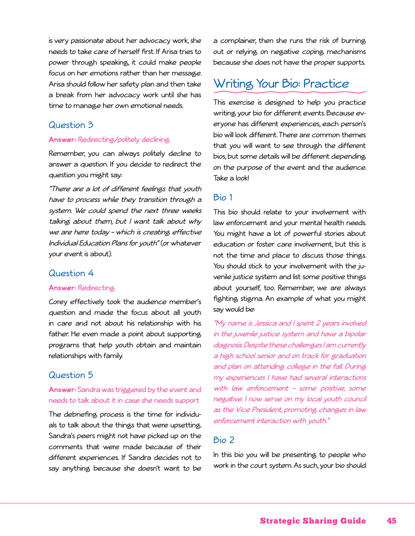is very passionate about her advocacy work, she needs to take care of herself first. If Arisa tries to power through speaking, it could make people focus on her emotions rather than her message. Arisa should follow her safety plan and then take a break from her advocacy work until she has time to manage her own emotional needs.

#### Question 3

#### **Answer:** Redirecting/politely declining

Remember, you can always politely decline to answer a question. If you decide to redirect the question you might say.:

"There are a lot of different feelings that youth have to process while they transition through a system. We could spend the next three weeks talking about them, but I want talk about why we are here today – which is creating effective Individual Education Plans for youth" (or whatever your event is about).

#### Question 4

#### **Answer:** Redirecting

Corey effectively took the audience member's question and made the focus about all youth in care and not about his relationship with his father. He even made a point about supporting programs that help youth obtain and maintain relationships with family.

#### Question 5

#### **Answer:** Sandra was triggered by the event and needs to talk about it in case she needs support

The debriefing process is the time for individuals to talk about the things that were upsetting. Sandra's peers might not have picked up on the comments that were made because of their different experiences. If Sandra decides not to say anything because she doesn't want to be

a complainer, then she runs the risk of burning out or relying on negative coping mechanisms because she does not have the proper supports.

## Writing Your Bio: Practice

This exercise is designed to help you practice writing your bio for different events. Because everyone has different experiences, each person's bio will look different. There are common themes that you will want to see through the different bios, but some details will be different depending on the purpose of the event and the audience. Take a look!

#### Bio 1

This bio should relate to your involvement with law enforcement and your mental health needs. You might have a lot of powerful stories about education or foster care involvement, but this is not the time and place to discuss those things. You should stick to your involvement with the juvenile justice system and list some positive things about yourself, too. Remember, we are always fighting stigma. An example of what you might say would be:

"My name is Jessica and I spent 2 years involved in the juvenile justice system and have a bipolar diagnosis. Despite these challenges I am currently a high school senior and on track for graduation and plan on attending college in the fall. During my experiences I have had several interactions with law enforcement - some positive, some negative. I now serve on my local youth council as the Vice President, promoting changes in law enforcement interaction with youth."

#### Bio 2

In this bio you will be presenting to people who work in the court system. As such, your bio should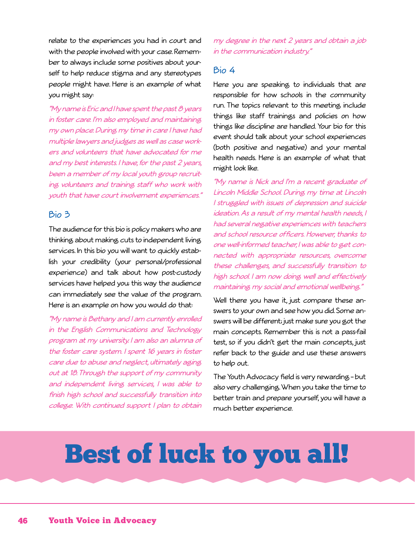relate to the experiences you had in court and with the people involved with your case. Remember to always include some positives about yourself to help reduce stigma and any stereotypes people might have. Here is an example of what you might say:

"My name is Eric and I have spent the past 8 years in foster care. I'm also employed and maintaining my own place. During my time in care I have had multiple lawyers and judges as well as case workers and volunteers that have advocated for me and my best interests. I have, for the past 2 years, been a member of my local youth group recruiting volunteers and training staff who work with youth that have court involvement experiences."

#### Bio 3

The audience for this bio is policy makers who are thinking about making cuts to independent living services. In this bio you will want to quickly establish your credibility (your personal/professional experience) and talk about how post-custody services have helped you; this way the audience can immediately see the value of the program. Here is an example on how you would do that:

"My name is Bethany and I am currently enrolled in the English Communications and Technology program at my university. I am also an alumna of the foster care system. I spent 16 years in foster care due to abuse and neglect, ultimately aging out at 18. Through the support of my community and independent living services, I was able to finish high school and successfully transition into college. With continued support I plan to obtain

my degree in the next 2 years and obtain a job in the communication industry."

#### Bio 4

Here you are speaking to individuals that are responsible for how schools in the community run. The topics relevant to this meeting include things like staff trainings and policies on how things like discipline are handled. Your bio for this event should talk about your school experiences (both positive and negative) and your mental health needs. Here is an example of what that might look like.

"My name is Nick and I'm a recent graduate of Lincoln Middle School. During my time at Lincoln I struggled with issues of depression and suicide ideation. As a result of my mental health needs, I had several negative experiences with teachers and school resource officers. However, thanks to one well-informed teacher, I was able to get connected with appropriate resources, overcome these challenges, and successfully transition to high school. I am now doing well and effectively maintaining my social and emotional wellbeing."

Well there you have it, just compare these answers to your own and see how you did. Some answers will be different; just make sure you got the main concepts. Remember this is not a pass-fail test, so if you didn't get the main concepts, just refer back to the guide and use these answers to help out.

The Youth Advocacy field is very rewarding – but also very challenging. When you take the time to better train and prepare yourself, you will have a much better experience.

# Best of luck to you all!